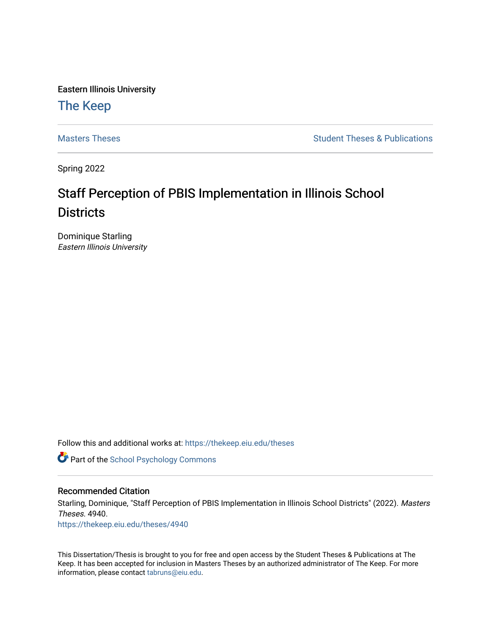Eastern Illinois University

# [The Keep](https://thekeep.eiu.edu/)

[Masters Theses](https://thekeep.eiu.edu/theses) **Student Theses & Publications** Student Theses & Publications

Spring 2022

# Staff Perception of PBIS Implementation in Illinois School **Districts**

Dominique Starling Eastern Illinois University

Follow this and additional works at: [https://thekeep.eiu.edu/theses](https://thekeep.eiu.edu/theses?utm_source=thekeep.eiu.edu%2Ftheses%2F4940&utm_medium=PDF&utm_campaign=PDFCoverPages)

**Part of the School Psychology Commons** 

#### Recommended Citation

Starling, Dominique, "Staff Perception of PBIS Implementation in Illinois School Districts" (2022). Masters Theses. 4940.

[https://thekeep.eiu.edu/theses/4940](https://thekeep.eiu.edu/theses/4940?utm_source=thekeep.eiu.edu%2Ftheses%2F4940&utm_medium=PDF&utm_campaign=PDFCoverPages) 

This Dissertation/Thesis is brought to you for free and open access by the Student Theses & Publications at The Keep. It has been accepted for inclusion in Masters Theses by an authorized administrator of The Keep. For more information, please contact [tabruns@eiu.edu](mailto:tabruns@eiu.edu).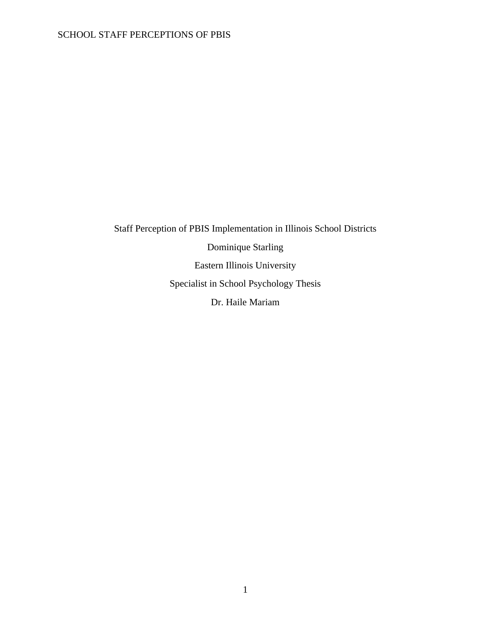Staff Perception of PBIS Implementation in Illinois School Districts Dominique Starling Eastern Illinois University Specialist in School Psychology Thesis Dr. Haile Mariam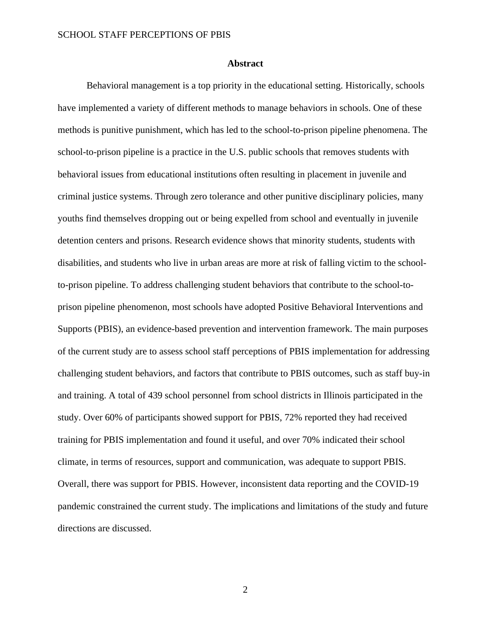#### **Abstract**

<span id="page-2-0"></span>Behavioral management is a top priority in the educational setting. Historically, schools have implemented a variety of different methods to manage behaviors in schools. One of these methods is punitive punishment, which has led to the school-to-prison pipeline phenomena. The school-to-prison pipeline is a practice in the U.S. public schools that removes students with behavioral issues from educational institutions often resulting in placement in juvenile and criminal justice systems. Through zero tolerance and other punitive disciplinary policies, many youths find themselves dropping out or being expelled from school and eventually in juvenile detention centers and prisons. Research evidence shows that minority students, students with disabilities, and students who live in urban areas are more at risk of falling victim to the schoolto-prison pipeline. To address challenging student behaviors that contribute to the school-toprison pipeline phenomenon, most schools have adopted Positive Behavioral Interventions and Supports (PBIS), an evidence-based prevention and intervention framework. The main purposes of the current study are to assess school staff perceptions of PBIS implementation for addressing challenging student behaviors, and factors that contribute to PBIS outcomes, such as staff buy-in and training. A total of 439 school personnel from school districts in Illinois participated in the study. Over 60% of participants showed support for PBIS, 72% reported they had received training for PBIS implementation and found it useful, and over 70% indicated their school climate, in terms of resources, support and communication, was adequate to support PBIS. Overall, there was support for PBIS. However, inconsistent data reporting and the COVID-19 pandemic constrained the current study. The implications and limitations of the study and future directions are discussed.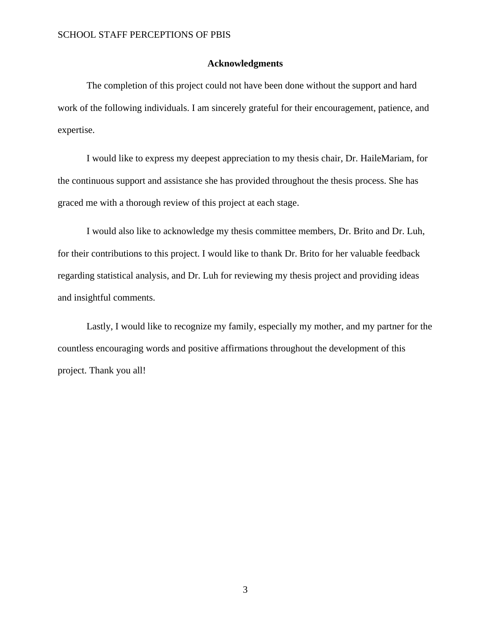#### **Acknowledgments**

<span id="page-3-0"></span>The completion of this project could not have been done without the support and hard work of the following individuals. I am sincerely grateful for their encouragement, patience, and expertise.

I would like to express my deepest appreciation to my thesis chair, Dr. HaileMariam, for the continuous support and assistance she has provided throughout the thesis process. She has graced me with a thorough review of this project at each stage.

I would also like to acknowledge my thesis committee members, Dr. Brito and Dr. Luh, for their contributions to this project. I would like to thank Dr. Brito for her valuable feedback regarding statistical analysis, and Dr. Luh for reviewing my thesis project and providing ideas and insightful comments.

Lastly, I would like to recognize my family, especially my mother, and my partner for the countless encouraging words and positive affirmations throughout the development of this project. Thank you all!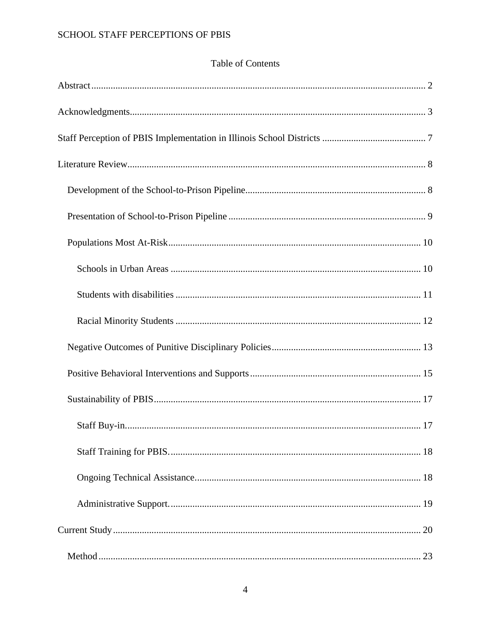# Table of Contents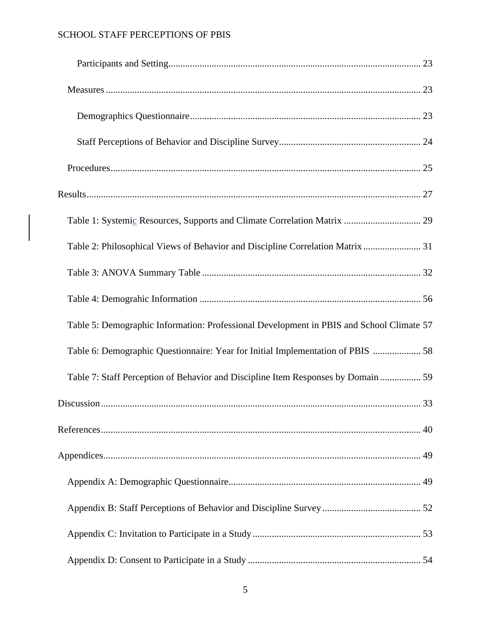| Table 2: Philosophical Views of Behavior and Discipline Correlation Matrix  31           |  |
|------------------------------------------------------------------------------------------|--|
|                                                                                          |  |
|                                                                                          |  |
| Table 5: Demographic Information: Professional Development in PBIS and School Climate 57 |  |
| Table 6: Demographic Questionnaire: Year for Initial Implementation of PBIS  58          |  |
| Table 7: Staff Perception of Behavior and Discipline Item Responses by Domain  59        |  |
|                                                                                          |  |
|                                                                                          |  |
|                                                                                          |  |
|                                                                                          |  |
|                                                                                          |  |
|                                                                                          |  |
|                                                                                          |  |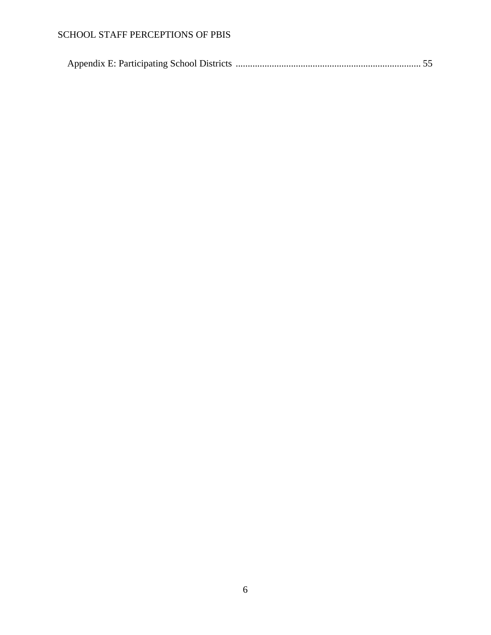|--|--|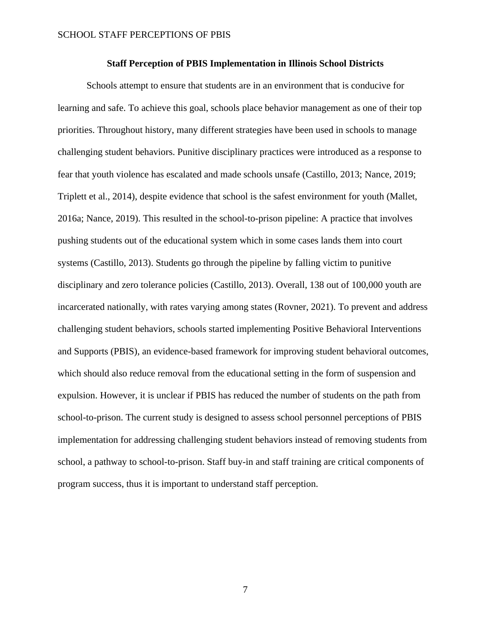#### **Staff Perception of PBIS Implementation in Illinois School Districts**

<span id="page-7-0"></span>Schools attempt to ensure that students are in an environment that is conducive for learning and safe. To achieve this goal, schools place behavior management as one of their top priorities. Throughout history, many different strategies have been used in schools to manage challenging student behaviors. Punitive disciplinary practices were introduced as a response to fear that youth violence has escalated and made schools unsafe (Castillo, 2013; Nance, 2019; Triplett et al., 2014), despite evidence that school is the safest environment for youth (Mallet, 2016a; Nance, 2019). This resulted in the school-to-prison pipeline: A practice that involves pushing students out of the educational system which in some cases lands them into court systems (Castillo, 2013). Students go through the pipeline by falling victim to punitive disciplinary and zero tolerance policies (Castillo, 2013). Overall, 138 out of 100,000 youth are incarcerated nationally, with rates varying among states (Rovner, 2021). To prevent and address challenging student behaviors, schools started implementing Positive Behavioral Interventions and Supports (PBIS), an evidence-based framework for improving student behavioral outcomes, which should also reduce removal from the educational setting in the form of suspension and expulsion. However, it is unclear if PBIS has reduced the number of students on the path from school-to-prison. The current study is designed to assess school personnel perceptions of PBIS implementation for addressing challenging student behaviors instead of removing students from school, a pathway to school-to-prison. Staff buy-in and staff training are critical components of program success, thus it is important to understand staff perception.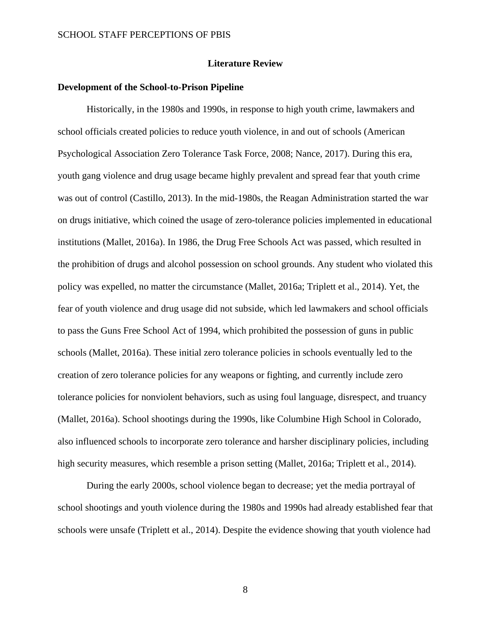#### **Literature Review**

#### <span id="page-8-1"></span><span id="page-8-0"></span>**Development of the School-to-Prison Pipeline**

Historically, in the 1980s and 1990s, in response to high youth crime, lawmakers and school officials created policies to reduce youth violence, in and out of schools (American Psychological Association Zero Tolerance Task Force, 2008; Nance, 2017). During this era, youth gang violence and drug usage became highly prevalent and spread fear that youth crime was out of control (Castillo, 2013). In the mid-1980s, the Reagan Administration started the war on drugs initiative, which coined the usage of zero-tolerance policies implemented in educational institutions (Mallet, 2016a). In 1986, the Drug Free Schools Act was passed, which resulted in the prohibition of drugs and alcohol possession on school grounds. Any student who violated this policy was expelled, no matter the circumstance (Mallet, 2016a; Triplett et al., 2014). Yet, the fear of youth violence and drug usage did not subside, which led lawmakers and school officials to pass the Guns Free School Act of 1994, which prohibited the possession of guns in public schools (Mallet, 2016a). These initial zero tolerance policies in schools eventually led to the creation of zero tolerance policies for any weapons or fighting, and currently include zero tolerance policies for nonviolent behaviors, such as using foul language, disrespect, and truancy (Mallet, 2016a). School shootings during the 1990s, like Columbine High School in Colorado, also influenced schools to incorporate zero tolerance and harsher disciplinary policies, including high security measures, which resemble a prison setting (Mallet, 2016a; Triplett et al., 2014).

During the early 2000s, school violence began to decrease; yet the media portrayal of school shootings and youth violence during the 1980s and 1990s had already established fear that schools were unsafe (Triplett et al., 2014). Despite the evidence showing that youth violence had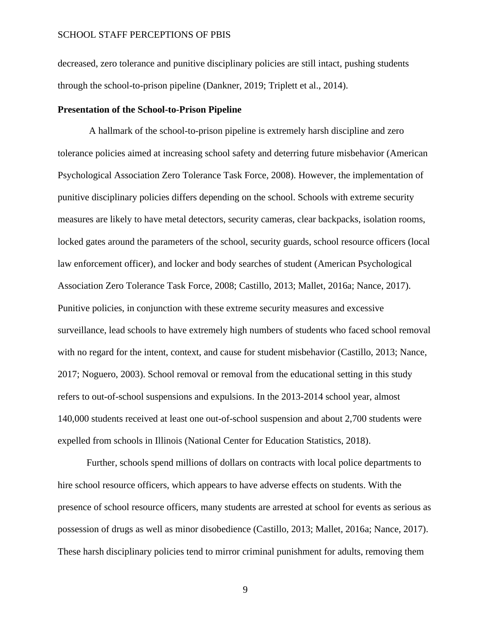decreased, zero tolerance and punitive disciplinary policies are still intact, pushing students through the school-to-prison pipeline (Dankner, 2019; Triplett et al., 2014).

#### <span id="page-9-0"></span>**Presentation of the School-to-Prison Pipeline**

A hallmark of the school-to-prison pipeline is extremely harsh discipline and zero tolerance policies aimed at increasing school safety and deterring future misbehavior (American Psychological Association Zero Tolerance Task Force, 2008). However, the implementation of punitive disciplinary policies differs depending on the school. Schools with extreme security measures are likely to have metal detectors, security cameras, clear backpacks, isolation rooms, locked gates around the parameters of the school, security guards, school resource officers (local law enforcement officer), and locker and body searches of student (American Psychological Association Zero Tolerance Task Force, 2008; Castillo, 2013; Mallet, 2016a; Nance, 2017). Punitive policies, in conjunction with these extreme security measures and excessive surveillance, lead schools to have extremely high numbers of students who faced school removal with no regard for the intent, context, and cause for student misbehavior (Castillo, 2013; Nance, 2017; Noguero, 2003). School removal or removal from the educational setting in this study refers to out-of-school suspensions and expulsions. In the 2013-2014 school year, almost 140,000 students received at least one out-of-school suspension and about 2,700 students were expelled from schools in Illinois (National Center for Education Statistics, 2018).

Further, schools spend millions of dollars on contracts with local police departments to hire school resource officers, which appears to have adverse effects on students. With the presence of school resource officers, many students are arrested at school for events as serious as possession of drugs as well as minor disobedience (Castillo, 2013; Mallet, 2016a; Nance, 2017). These harsh disciplinary policies tend to mirror criminal punishment for adults, removing them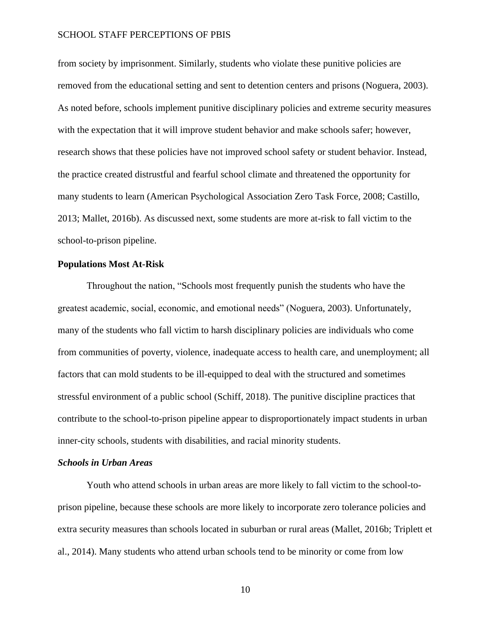from society by imprisonment. Similarly, students who violate these punitive policies are removed from the educational setting and sent to detention centers and prisons (Noguera, 2003). As noted before, schools implement punitive disciplinary policies and extreme security measures with the expectation that it will improve student behavior and make schools safer; however, research shows that these policies have not improved school safety or student behavior. Instead, the practice created distrustful and fearful school climate and threatened the opportunity for many students to learn (American Psychological Association Zero Task Force, 2008; Castillo, 2013; Mallet, 2016b). As discussed next, some students are more at-risk to fall victim to the school-to-prison pipeline.

## <span id="page-10-0"></span>**Populations Most At-Risk**

Throughout the nation, "Schools most frequently punish the students who have the greatest academic, social, economic, and emotional needs" (Noguera, 2003). Unfortunately, many of the students who fall victim to harsh disciplinary policies are individuals who come from communities of poverty, violence, inadequate access to health care, and unemployment; all factors that can mold students to be ill-equipped to deal with the structured and sometimes stressful environment of a public school (Schiff, 2018). The punitive discipline practices that contribute to the school-to-prison pipeline appear to disproportionately impact students in urban inner-city schools, students with disabilities, and racial minority students.

### <span id="page-10-1"></span>*Schools in Urban Areas*

Youth who attend schools in urban areas are more likely to fall victim to the school-toprison pipeline, because these schools are more likely to incorporate zero tolerance policies and extra security measures than schools located in suburban or rural areas (Mallet, 2016b; Triplett et al., 2014). Many students who attend urban schools tend to be minority or come from low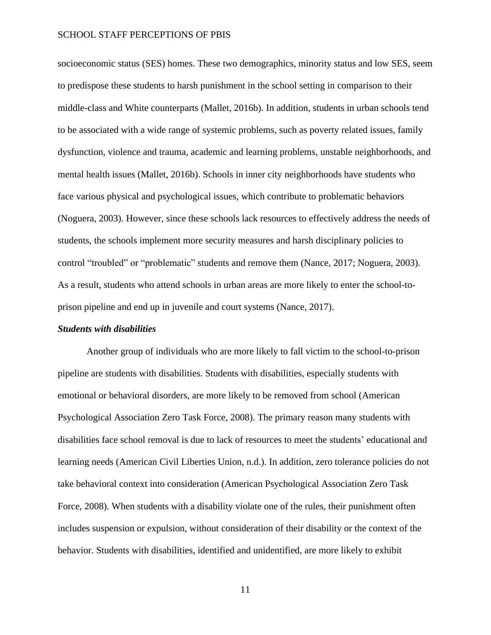socioeconomic status (SES) homes. These two demographics, minority status and low SES, seem to predispose these students to harsh punishment in the school setting in comparison to their middle-class and White counterparts (Mallet, 2016b). In addition, students in urban schools tend to be associated with a wide range of systemic problems, such as poverty related issues, family dysfunction, violence and trauma, academic and learning problems, unstable neighborhoods, and mental health issues (Mallet, 2016b). Schools in inner city neighborhoods have students who face various physical and psychological issues, which contribute to problematic behaviors (Noguera, 2003). However, since these schools lack resources to effectively address the needs of students, the schools implement more security measures and harsh disciplinary policies to control "troubled" or "problematic" students and remove them (Nance, 2017; Noguera, 2003). As a result, students who attend schools in urban areas are more likely to enter the school-toprison pipeline and end up in juvenile and court systems (Nance, 2017).

#### <span id="page-11-0"></span>*Students with disabilities*

Another group of individuals who are more likely to fall victim to the school-to-prison pipeline are students with disabilities. Students with disabilities, especially students with emotional or behavioral disorders, are more likely to be removed from school (American Psychological Association Zero Task Force, 2008). The primary reason many students with disabilities face school removal is due to lack of resources to meet the students' educational and learning needs (American Civil Liberties Union, n.d.). In addition, zero tolerance policies do not take behavioral context into consideration (American Psychological Association Zero Task Force, 2008). When students with a disability violate one of the rules, their punishment often includes suspension or expulsion, without consideration of their disability or the context of the behavior. Students with disabilities, identified and unidentified, are more likely to exhibit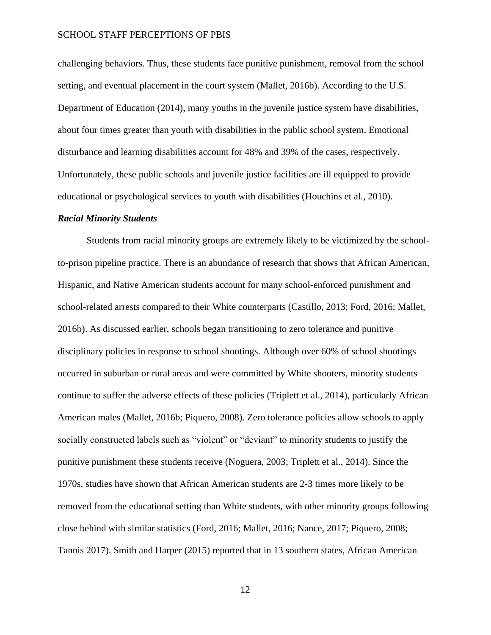challenging behaviors. Thus, these students face punitive punishment, removal from the school setting, and eventual placement in the court system (Mallet, 2016b). According to the U.S. Department of Education (2014), many youths in the juvenile justice system have disabilities, about four times greater than youth with disabilities in the public school system. Emotional disturbance and learning disabilities account for 48% and 39% of the cases, respectively. Unfortunately, these public schools and juvenile justice facilities are ill equipped to provide educational or psychological services to youth with disabilities (Houchins et al., 2010).

#### <span id="page-12-0"></span>*Racial Minority Students*

Students from racial minority groups are extremely likely to be victimized by the schoolto-prison pipeline practice. There is an abundance of research that shows that African American, Hispanic, and Native American students account for many school-enforced punishment and school-related arrests compared to their White counterparts (Castillo, 2013; Ford, 2016; Mallet, 2016b). As discussed earlier, schools began transitioning to zero tolerance and punitive disciplinary policies in response to school shootings. Although over 60% of school shootings occurred in suburban or rural areas and were committed by White shooters, minority students continue to suffer the adverse effects of these policies (Triplett et al., 2014), particularly African American males (Mallet, 2016b; Piquero, 2008). Zero tolerance policies allow schools to apply socially constructed labels such as "violent" or "deviant" to minority students to justify the punitive punishment these students receive (Noguera, 2003; Triplett et al., 2014). Since the 1970s, studies have shown that African American students are 2-3 times more likely to be removed from the educational setting than White students, with other minority groups following close behind with similar statistics (Ford, 2016; Mallet, 2016; Nance, 2017; Piquero, 2008; Tannis 2017). Smith and Harper (2015) reported that in 13 southern states, African American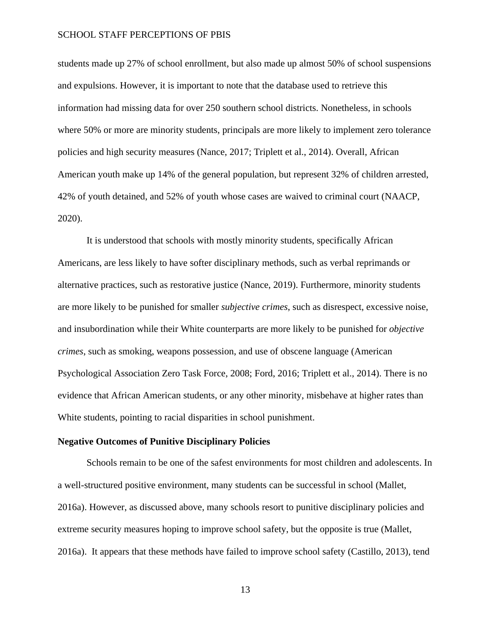students made up 27% of school enrollment, but also made up almost 50% of school suspensions and expulsions. However, it is important to note that the database used to retrieve this information had missing data for over 250 southern school districts. Nonetheless, in schools where 50% or more are minority students, principals are more likely to implement zero tolerance policies and high security measures (Nance, 2017; Triplett et al., 2014). Overall, African American youth make up 14% of the general population, but represent 32% of children arrested, 42% of youth detained, and 52% of youth whose cases are waived to criminal court (NAACP, 2020).

It is understood that schools with mostly minority students, specifically African Americans, are less likely to have softer disciplinary methods, such as verbal reprimands or alternative practices, such as restorative justice (Nance, 2019). Furthermore, minority students are more likely to be punished for smaller *subjective crimes*, such as disrespect, excessive noise, and insubordination while their White counterparts are more likely to be punished for *objective crimes*, such as smoking, weapons possession, and use of obscene language (American Psychological Association Zero Task Force, 2008; Ford, 2016; Triplett et al., 2014). There is no evidence that African American students, or any other minority, misbehave at higher rates than White students, pointing to racial disparities in school punishment.

## <span id="page-13-0"></span>**Negative Outcomes of Punitive Disciplinary Policies**

Schools remain to be one of the safest environments for most children and adolescents. In a well-structured positive environment, many students can be successful in school (Mallet, 2016a). However, as discussed above, many schools resort to punitive disciplinary policies and extreme security measures hoping to improve school safety, but the opposite is true (Mallet, 2016a). It appears that these methods have failed to improve school safety (Castillo, 2013), tend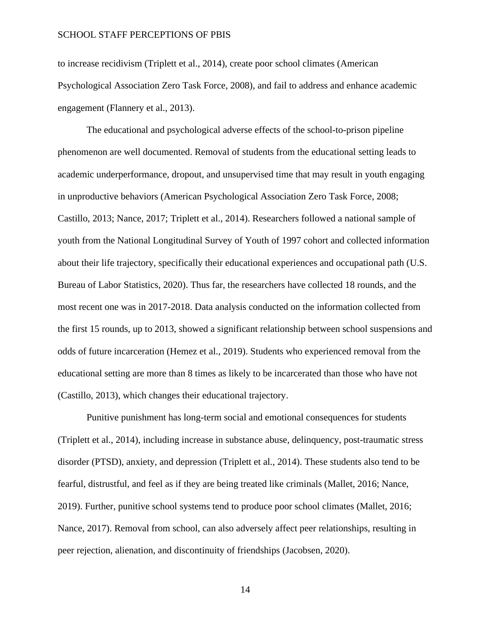to increase recidivism (Triplett et al., 2014), create poor school climates (American Psychological Association Zero Task Force, 2008), and fail to address and enhance academic engagement (Flannery et al., 2013).

The educational and psychological adverse effects of the school-to-prison pipeline phenomenon are well documented. Removal of students from the educational setting leads to academic underperformance, dropout, and unsupervised time that may result in youth engaging in unproductive behaviors (American Psychological Association Zero Task Force, 2008; Castillo, 2013; Nance, 2017; Triplett et al., 2014). Researchers followed a national sample of youth from the National Longitudinal Survey of Youth of 1997 cohort and collected information about their life trajectory, specifically their educational experiences and occupational path (U.S. Bureau of Labor Statistics, 2020). Thus far, the researchers have collected 18 rounds, and the most recent one was in 2017-2018. Data analysis conducted on the information collected from the first 15 rounds, up to 2013, showed a significant relationship between school suspensions and odds of future incarceration (Hemez et al., 2019). Students who experienced removal from the educational setting are more than 8 times as likely to be incarcerated than those who have not (Castillo, 2013), which changes their educational trajectory.

Punitive punishment has long-term social and emotional consequences for students (Triplett et al., 2014), including increase in substance abuse, delinquency, post-traumatic stress disorder (PTSD), anxiety, and depression (Triplett et al., 2014). These students also tend to be fearful, distrustful, and feel as if they are being treated like criminals (Mallet, 2016; Nance, 2019). Further, punitive school systems tend to produce poor school climates (Mallet, 2016; Nance, 2017). Removal from school, can also adversely affect peer relationships, resulting in peer rejection, alienation, and discontinuity of friendships (Jacobsen, 2020).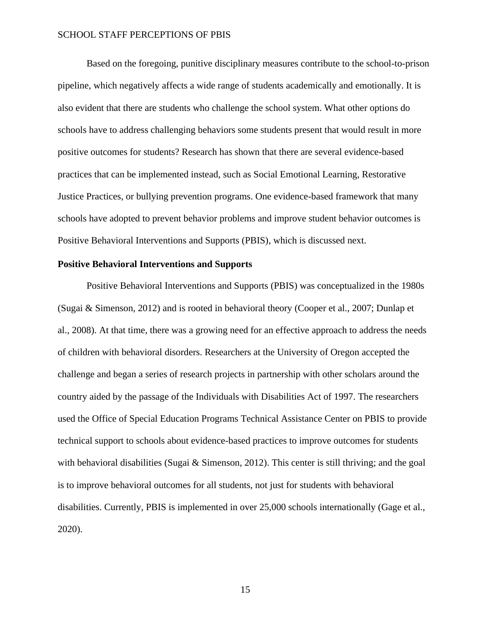Based on the foregoing, punitive disciplinary measures contribute to the school-to-prison pipeline, which negatively affects a wide range of students academically and emotionally. It is also evident that there are students who challenge the school system. What other options do schools have to address challenging behaviors some students present that would result in more positive outcomes for students? Research has shown that there are several evidence-based practices that can be implemented instead, such as Social Emotional Learning, Restorative Justice Practices, or bullying prevention programs. One evidence-based framework that many schools have adopted to prevent behavior problems and improve student behavior outcomes is Positive Behavioral Interventions and Supports (PBIS), which is discussed next.

## <span id="page-15-0"></span>**Positive Behavioral Interventions and Supports**

Positive Behavioral Interventions and Supports (PBIS) was conceptualized in the 1980s (Sugai & Simenson, 2012) and is rooted in behavioral theory (Cooper et al., 2007; Dunlap et al., 2008). At that time, there was a growing need for an effective approach to address the needs of children with behavioral disorders. Researchers at the University of Oregon accepted the challenge and began a series of research projects in partnership with other scholars around the country aided by the passage of the Individuals with Disabilities Act of 1997. The researchers used the Office of Special Education Programs Technical Assistance Center on PBIS to provide technical support to schools about evidence-based practices to improve outcomes for students with behavioral disabilities (Sugai & Simenson, 2012). This center is still thriving; and the goal is to improve behavioral outcomes for all students, not just for students with behavioral disabilities. Currently, PBIS is implemented in over 25,000 schools internationally (Gage et al., 2020).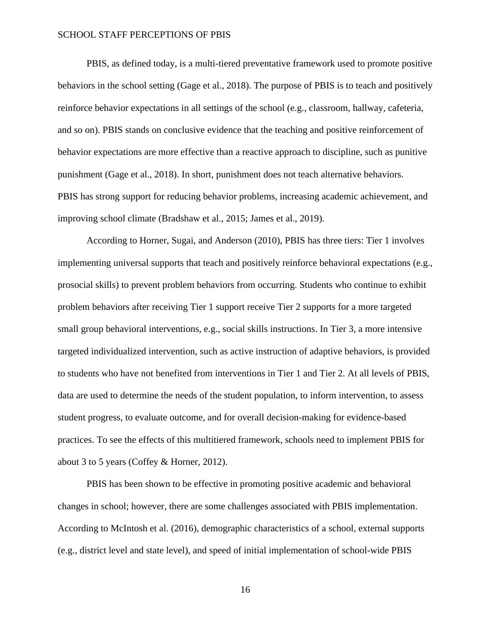PBIS, as defined today, is a multi-tiered preventative framework used to promote positive behaviors in the school setting (Gage et al., 2018). The purpose of PBIS is to teach and positively reinforce behavior expectations in all settings of the school (e.g., classroom, hallway, cafeteria, and so on). PBIS stands on conclusive evidence that the teaching and positive reinforcement of behavior expectations are more effective than a reactive approach to discipline, such as punitive punishment (Gage et al., 2018). In short, punishment does not teach alternative behaviors. PBIS has strong support for reducing behavior problems, increasing academic achievement, and improving school climate (Bradshaw et al., 2015; James et al., 2019).

According to Horner, Sugai, and Anderson (2010), PBIS has three tiers: Tier 1 involves implementing universal supports that teach and positively reinforce behavioral expectations (e.g., prosocial skills) to prevent problem behaviors from occurring. Students who continue to exhibit problem behaviors after receiving Tier 1 support receive Tier 2 supports for a more targeted small group behavioral interventions, e.g., social skills instructions. In Tier 3, a more intensive targeted individualized intervention, such as active instruction of adaptive behaviors, is provided to students who have not benefited from interventions in Tier 1 and Tier 2. At all levels of PBIS, data are used to determine the needs of the student population, to inform intervention, to assess student progress, to evaluate outcome, and for overall decision-making for evidence-based practices. To see the effects of this multitiered framework, schools need to implement PBIS for about 3 to 5 years (Coffey & Horner, 2012).

PBIS has been shown to be effective in promoting positive academic and behavioral changes in school; however, there are some challenges associated with PBIS implementation. According to McIntosh et al. (2016), demographic characteristics of a school, external supports (e.g., district level and state level), and speed of initial implementation of school-wide PBIS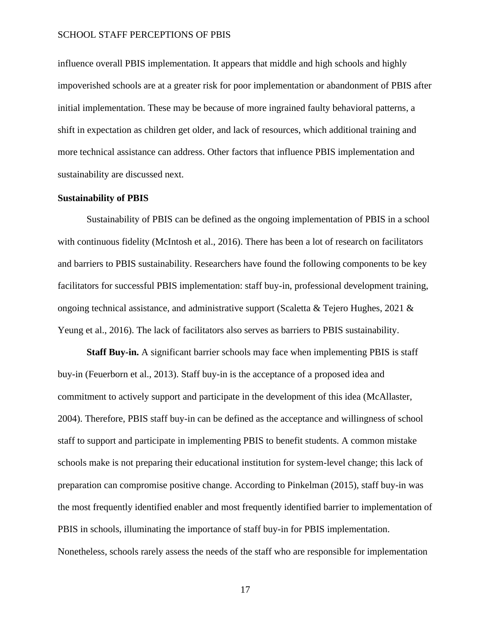influence overall PBIS implementation. It appears that middle and high schools and highly impoverished schools are at a greater risk for poor implementation or abandonment of PBIS after initial implementation. These may be because of more ingrained faulty behavioral patterns, a shift in expectation as children get older, and lack of resources, which additional training and more technical assistance can address. Other factors that influence PBIS implementation and sustainability are discussed next.

### <span id="page-17-0"></span>**Sustainability of PBIS**

Sustainability of PBIS can be defined as the ongoing implementation of PBIS in a school with continuous fidelity (McIntosh et al., 2016). There has been a lot of research on facilitators and barriers to PBIS sustainability. Researchers have found the following components to be key facilitators for successful PBIS implementation: staff buy-in, professional development training, ongoing technical assistance, and administrative support (Scaletta & Tejero Hughes, 2021 & Yeung et al., 2016). The lack of facilitators also serves as barriers to PBIS sustainability.

<span id="page-17-1"></span>**Staff Buy-in.** A significant barrier schools may face when implementing PBIS is staff buy-in (Feuerborn et al., 2013). Staff buy-in is the acceptance of a proposed idea and commitment to actively support and participate in the development of this idea (McAllaster, 2004). Therefore, PBIS staff buy-in can be defined as the acceptance and willingness of school staff to support and participate in implementing PBIS to benefit students. A common mistake schools make is not preparing their educational institution for system-level change; this lack of preparation can compromise positive change. According to Pinkelman (2015), staff buy-in was the most frequently identified enabler and most frequently identified barrier to implementation of PBIS in schools, illuminating the importance of staff buy-in for PBIS implementation. Nonetheless, schools rarely assess the needs of the staff who are responsible for implementation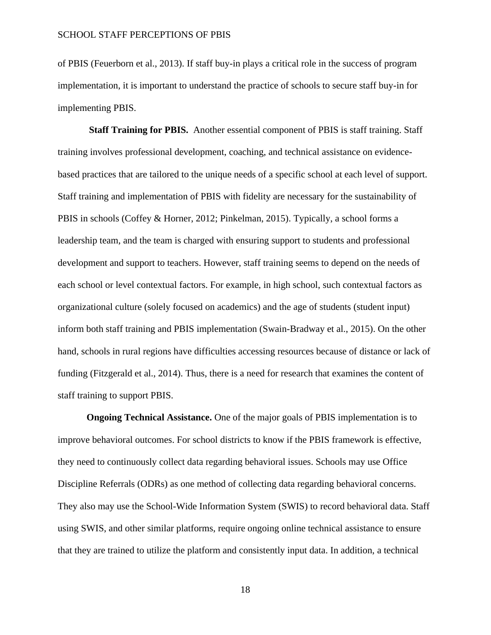of PBIS (Feuerborn et al., 2013). If staff buy-in plays a critical role in the success of program implementation, it is important to understand the practice of schools to secure staff buy-in for implementing PBIS.

<span id="page-18-0"></span>**Staff Training for PBIS.** Another essential component of PBIS is staff training. Staff training involves professional development, coaching, and technical assistance on evidencebased practices that are tailored to the unique needs of a specific school at each level of support. Staff training and implementation of PBIS with fidelity are necessary for the sustainability of PBIS in schools (Coffey & Horner, 2012; Pinkelman, 2015). Typically, a school forms a leadership team, and the team is charged with ensuring support to students and professional development and support to teachers. However, staff training seems to depend on the needs of each school or level contextual factors. For example, in high school, such contextual factors as organizational culture (solely focused on academics) and the age of students (student input) inform both staff training and PBIS implementation (Swain-Bradway et al., 2015). On the other hand, schools in rural regions have difficulties accessing resources because of distance or lack of funding (Fitzgerald et al., 2014). Thus, there is a need for research that examines the content of staff training to support PBIS.

<span id="page-18-1"></span>**Ongoing Technical Assistance.** One of the major goals of PBIS implementation is to improve behavioral outcomes. For school districts to know if the PBIS framework is effective, they need to continuously collect data regarding behavioral issues. Schools may use Office Discipline Referrals (ODRs) as one method of collecting data regarding behavioral concerns. They also may use the School-Wide Information System (SWIS) to record behavioral data. Staff using SWIS, and other similar platforms, require ongoing online technical assistance to ensure that they are trained to utilize the platform and consistently input data. In addition, a technical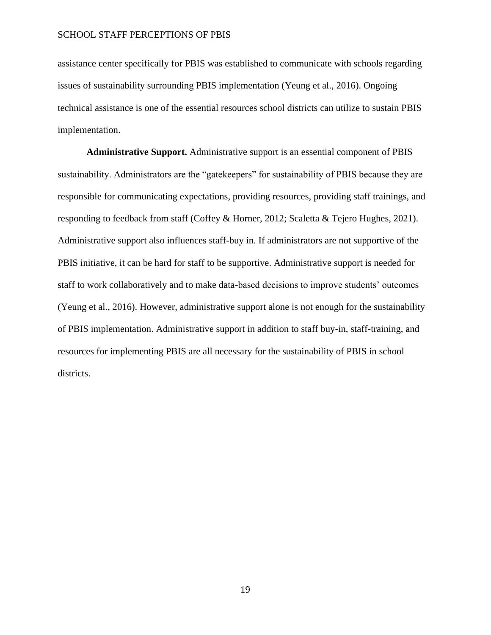assistance center specifically for PBIS was established to communicate with schools regarding issues of sustainability surrounding PBIS implementation (Yeung et al., 2016). Ongoing technical assistance is one of the essential resources school districts can utilize to sustain PBIS implementation.

<span id="page-19-0"></span>**Administrative Support.** Administrative support is an essential component of PBIS sustainability. Administrators are the "gatekeepers" for sustainability of PBIS because they are responsible for communicating expectations, providing resources, providing staff trainings, and responding to feedback from staff (Coffey & Horner, 2012; Scaletta & Tejero Hughes, 2021). Administrative support also influences staff-buy in. If administrators are not supportive of the PBIS initiative, it can be hard for staff to be supportive. Administrative support is needed for staff to work collaboratively and to make data-based decisions to improve students' outcomes (Yeung et al., 2016). However, administrative support alone is not enough for the sustainability of PBIS implementation. Administrative support in addition to staff buy-in, staff-training, and resources for implementing PBIS are all necessary for the sustainability of PBIS in school districts.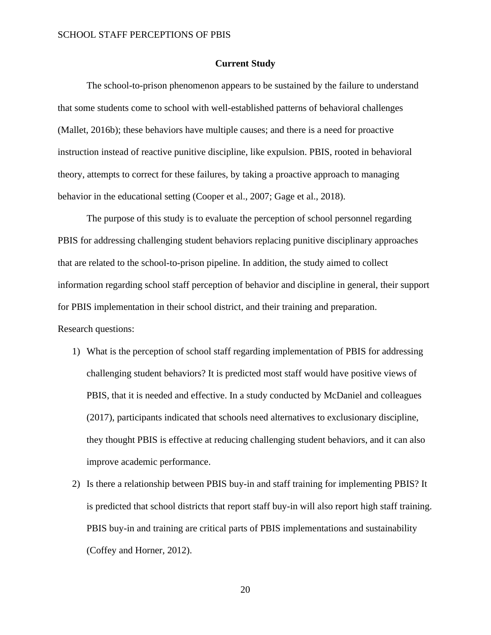#### **Current Study**

<span id="page-20-0"></span>The school-to-prison phenomenon appears to be sustained by the failure to understand that some students come to school with well-established patterns of behavioral challenges (Mallet, 2016b); these behaviors have multiple causes; and there is a need for proactive instruction instead of reactive punitive discipline, like expulsion. PBIS, rooted in behavioral theory, attempts to correct for these failures, by taking a proactive approach to managing behavior in the educational setting (Cooper et al., 2007; Gage et al., 2018).

The purpose of this study is to evaluate the perception of school personnel regarding PBIS for addressing challenging student behaviors replacing punitive disciplinary approaches that are related to the school-to-prison pipeline. In addition, the study aimed to collect information regarding school staff perception of behavior and discipline in general, their support for PBIS implementation in their school district, and their training and preparation.

#### Research questions:

- 1) What is the perception of school staff regarding implementation of PBIS for addressing challenging student behaviors? It is predicted most staff would have positive views of PBIS, that it is needed and effective. In a study conducted by McDaniel and colleagues (2017), participants indicated that schools need alternatives to exclusionary discipline, they thought PBIS is effective at reducing challenging student behaviors, and it can also improve academic performance.
- 2) Is there a relationship between PBIS buy-in and staff training for implementing PBIS? It is predicted that school districts that report staff buy-in will also report high staff training. PBIS buy-in and training are critical parts of PBIS implementations and sustainability (Coffey and Horner, 2012).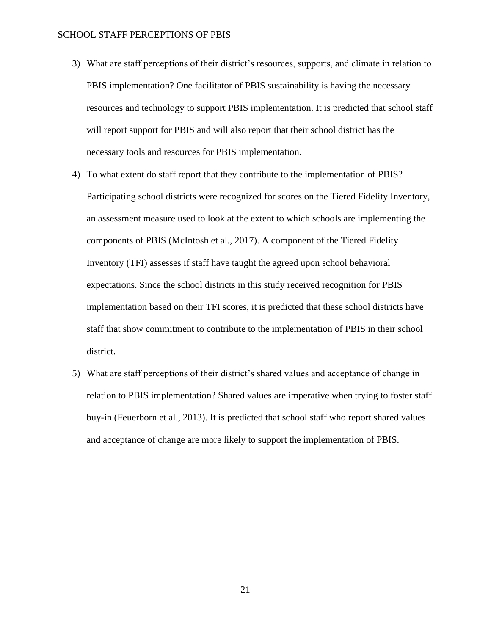- 3) What are staff perceptions of their district's resources, supports, and climate in relation to PBIS implementation? One facilitator of PBIS sustainability is having the necessary resources and technology to support PBIS implementation. It is predicted that school staff will report support for PBIS and will also report that their school district has the necessary tools and resources for PBIS implementation.
- 4) To what extent do staff report that they contribute to the implementation of PBIS? Participating school districts were recognized for scores on the Tiered Fidelity Inventory, an assessment measure used to look at the extent to which schools are implementing the components of PBIS (McIntosh et al., 2017). A component of the Tiered Fidelity Inventory (TFI) assesses if staff have taught the agreed upon school behavioral expectations. Since the school districts in this study received recognition for PBIS implementation based on their TFI scores, it is predicted that these school districts have staff that show commitment to contribute to the implementation of PBIS in their school district.
- 5) What are staff perceptions of their district's shared values and acceptance of change in relation to PBIS implementation? Shared values are imperative when trying to foster staff buy-in (Feuerborn et al., 2013). It is predicted that school staff who report shared values and acceptance of change are more likely to support the implementation of PBIS.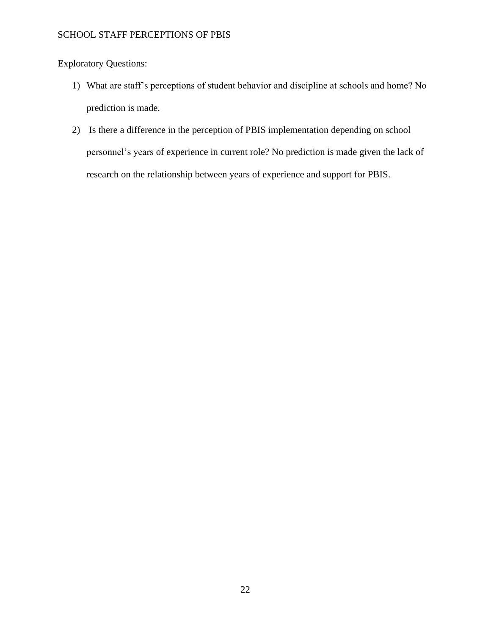Exploratory Questions:

- 1) What are staff's perceptions of student behavior and discipline at schools and home? No prediction is made.
- 2) Is there a difference in the perception of PBIS implementation depending on school personnel's years of experience in current role? No prediction is made given the lack of research on the relationship between years of experience and support for PBIS.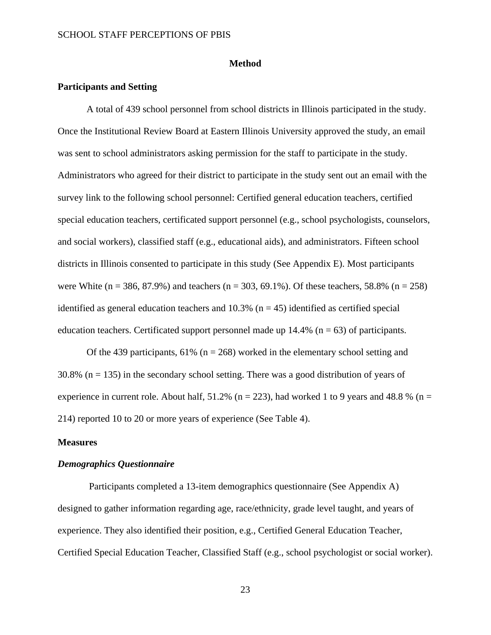#### **Method**

#### <span id="page-23-1"></span><span id="page-23-0"></span>**Participants and Setting**

A total of 439 school personnel from school districts in Illinois participated in the study. Once the Institutional Review Board at Eastern Illinois University approved the study, an email was sent to school administrators asking permission for the staff to participate in the study. Administrators who agreed for their district to participate in the study sent out an email with the survey link to the following school personnel: Certified general education teachers, certified special education teachers, certificated support personnel (e.g., school psychologists, counselors, and social workers), classified staff (e.g., educational aids), and administrators. Fifteen school districts in Illinois consented to participate in this study (See Appendix E). Most participants were White (n = 386, 87.9%) and teachers (n = 303, 69.1%). Of these teachers, 58.8% (n = 258) identified as general education teachers and  $10.3\%$  (n = 45) identified as certified special education teachers. Certificated support personnel made up  $14.4\%$  (n = 63) of participants.

Of the 439 participants, 61% ( $n = 268$ ) worked in the elementary school setting and  $30.8\%$  (n = 135) in the secondary school setting. There was a good distribution of years of experience in current role. About half,  $51.2\%$  (n = 223), had worked 1 to 9 years and 48.8 % (n = 214) reported 10 to 20 or more years of experience (See Table 4).

#### <span id="page-23-2"></span>**Measures**

#### <span id="page-23-3"></span>*Demographics Questionnaire*

Participants completed a 13-item demographics questionnaire (See Appendix A) designed to gather information regarding age, race/ethnicity, grade level taught, and years of experience. They also identified their position, e.g., Certified General Education Teacher, Certified Special Education Teacher, Classified Staff (e.g., school psychologist or social worker).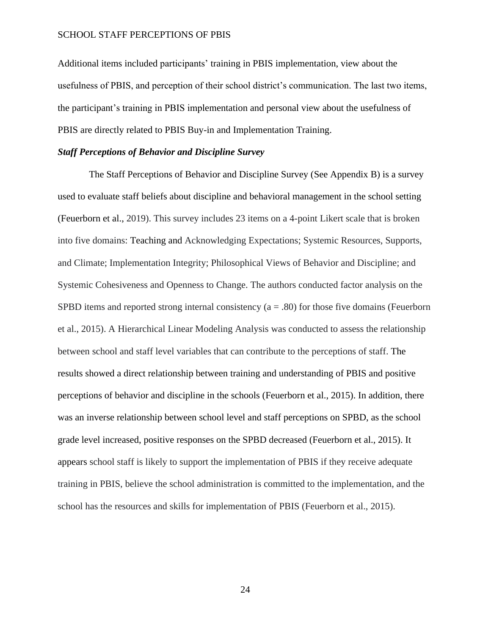Additional items included participants' training in PBIS implementation, view about the usefulness of PBIS, and perception of their school district's communication. The last two items, the participant's training in PBIS implementation and personal view about the usefulness of PBIS are directly related to PBIS Buy-in and Implementation Training.

#### <span id="page-24-0"></span>*Staff Perceptions of Behavior and Discipline Survey*

The Staff Perceptions of Behavior and Discipline Survey (See Appendix B) is a survey used to evaluate staff beliefs about discipline and behavioral management in the school setting (Feuerborn et al., 2019). This survey includes 23 items on a 4-point Likert scale that is broken into five domains: Teaching and Acknowledging Expectations; Systemic Resources, Supports, and Climate; Implementation Integrity; Philosophical Views of Behavior and Discipline; and Systemic Cohesiveness and Openness to Change. The authors conducted factor analysis on the SPBD items and reported strong internal consistency  $(a = .80)$  for those five domains (Feuerborn et al., 2015). A Hierarchical Linear Modeling Analysis was conducted to assess the relationship between school and staff level variables that can contribute to the perceptions of staff. The results showed a direct relationship between training and understanding of PBIS and positive perceptions of behavior and discipline in the schools (Feuerborn et al., 2015). In addition, there was an inverse relationship between school level and staff perceptions on SPBD, as the school grade level increased, positive responses on the SPBD decreased (Feuerborn et al., 2015). It appears school staff is likely to support the implementation of PBIS if they receive adequate training in PBIS, believe the school administration is committed to the implementation, and the school has the resources and skills for implementation of PBIS (Feuerborn et al., 2015).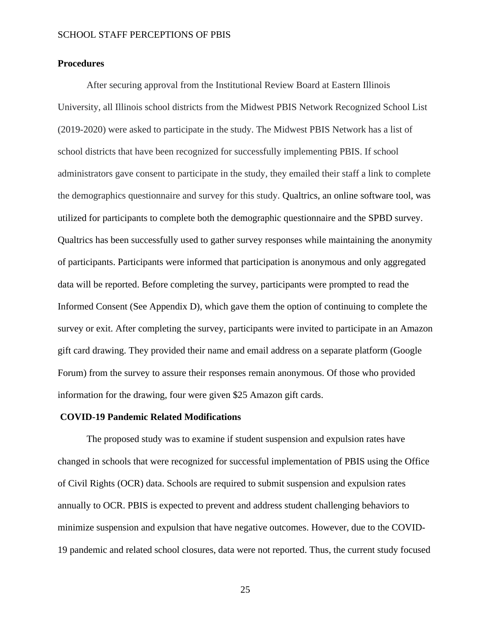### <span id="page-25-0"></span>**Procedures**

After securing approval from the Institutional Review Board at Eastern Illinois University, all Illinois school districts from the Midwest PBIS Network Recognized School List (2019-2020) were asked to participate in the study. The Midwest PBIS Network has a list of school districts that have been recognized for successfully implementing PBIS. If school administrators gave consent to participate in the study, they emailed their staff a link to complete the demographics questionnaire and survey for this study. Qualtrics, an online software tool, was utilized for participants to complete both the demographic questionnaire and the SPBD survey. Qualtrics has been successfully used to gather survey responses while maintaining the anonymity of participants. Participants were informed that participation is anonymous and only aggregated data will be reported. Before completing the survey, participants were prompted to read the Informed Consent (See Appendix D), which gave them the option of continuing to complete the survey or exit. After completing the survey, participants were invited to participate in an Amazon gift card drawing. They provided their name and email address on a separate platform (Google Forum) from the survey to assure their responses remain anonymous. Of those who provided information for the drawing, four were given \$25 Amazon gift cards.

#### **COVID-19 Pandemic Related Modifications**

The proposed study was to examine if student suspension and expulsion rates have changed in schools that were recognized for successful implementation of PBIS using the Office of Civil Rights (OCR) data. Schools are required to submit suspension and expulsion rates annually to OCR. PBIS is expected to prevent and address student challenging behaviors to minimize suspension and expulsion that have negative outcomes. However, due to the COVID-19 pandemic and related school closures, data were not reported. Thus, the current study focused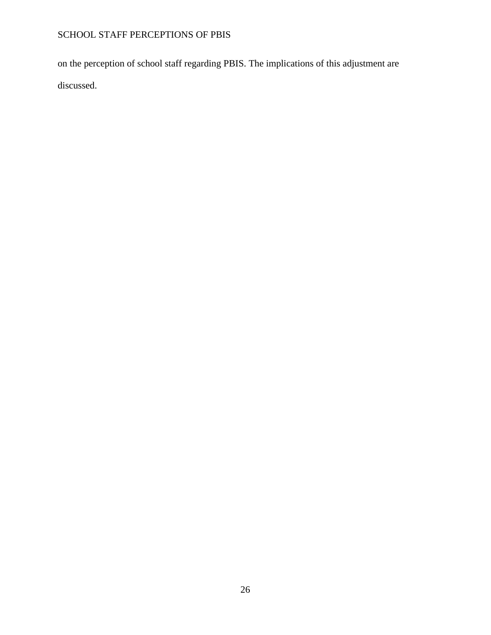on the perception of school staff regarding PBIS. The implications of this adjustment are discussed.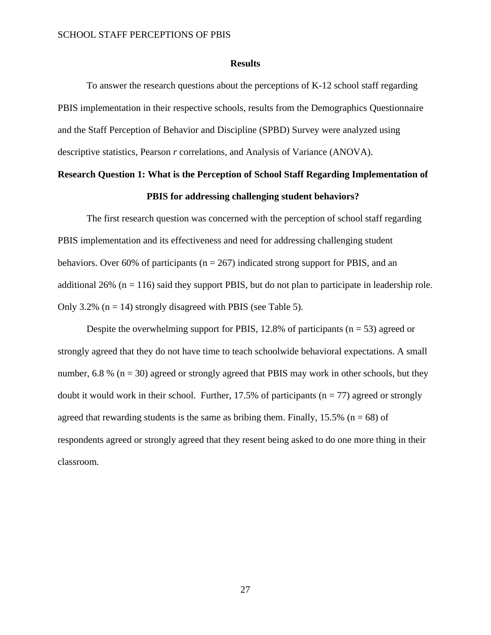#### **Results**

<span id="page-27-0"></span>To answer the research questions about the perceptions of K-12 school staff regarding PBIS implementation in their respective schools, results from the Demographics Questionnaire and the Staff Perception of Behavior and Discipline (SPBD) Survey were analyzed using descriptive statistics, Pearson *r* correlations*,* and Analysis of Variance (ANOVA).

# **Research Question 1: What is the Perception of School Staff Regarding Implementation of PBIS for addressing challenging student behaviors?**

The first research question was concerned with the perception of school staff regarding PBIS implementation and its effectiveness and need for addressing challenging student behaviors. Over 60% of participants ( $n = 267$ ) indicated strong support for PBIS, and an additional  $26\%$  (n = 116) said they support PBIS, but do not plan to participate in leadership role. Only 3.2% ( $n = 14$ ) strongly disagreed with PBIS (see Table 5).

Despite the overwhelming support for PBIS, 12.8% of participants ( $n = 53$ ) agreed or strongly agreed that they do not have time to teach schoolwide behavioral expectations. A small number, 6.8 % ( $n = 30$ ) agreed or strongly agreed that PBIS may work in other schools, but they doubt it would work in their school. Further,  $17.5\%$  of participants ( $n = 77$ ) agreed or strongly agreed that rewarding students is the same as bribing them. Finally, 15.5% ( $n = 68$ ) of respondents agreed or strongly agreed that they resent being asked to do one more thing in their classroom*.*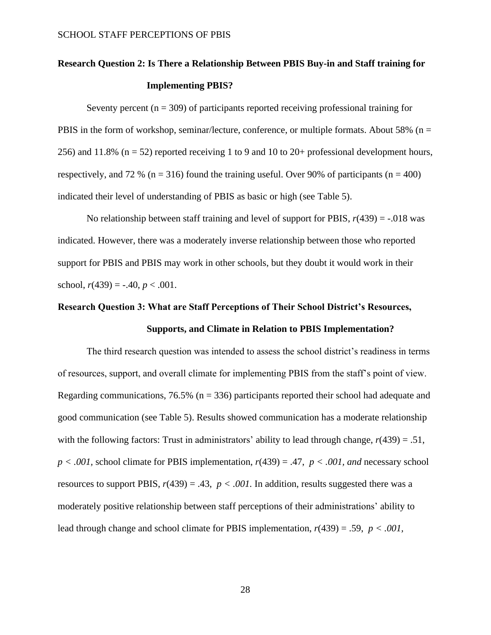# **Research Question 2: Is There a Relationship Between PBIS Buy-in and Staff training for Implementing PBIS?**

Seventy percent  $(n = 309)$  of participants reported receiving professional training for PBIS in the form of workshop, seminar/lecture, conference, or multiple formats. About 58% ( $n =$ 256) and 11.8% ( $n = 52$ ) reported receiving 1 to 9 and 10 to 20+ professional development hours, respectively, and 72 % ( $n = 316$ ) found the training useful. Over 90% of participants ( $n = 400$ ) indicated their level of understanding of PBIS as basic or high (see Table 5).

No relationship between staff training and level of support for PBIS,  $r(439) = -0.018$  was indicated. However, there was a moderately inverse relationship between those who reported support for PBIS and PBIS may work in other schools, but they doubt it would work in their school,  $r(439) = -.40, p < .001$ .

# **Research Question 3: What are Staff Perceptions of Their School District's Resources, Supports, and Climate in Relation to PBIS Implementation?**

The third research question was intended to assess the school district's readiness in terms of resources, support, and overall climate for implementing PBIS from the staff's point of view. Regarding communications, 76.5% ( $n = 336$ ) participants reported their school had adequate and good communication (see Table 5). Results showed communication has a moderate relationship with the following factors: Trust in administrators' ability to lead through change, *r*(439) = .51,  $p < .001$ , school climate for PBIS implementation,  $r(439) = .47$ ,  $p < .001$ , and necessary school resources to support PBIS,  $r(439) = .43$ ,  $p < .001$ . In addition, results suggested there was a moderately positive relationship between staff perceptions of their administrations' ability to lead through change and school climate for PBIS implementation, *r*(439) = .59, *p < .001,*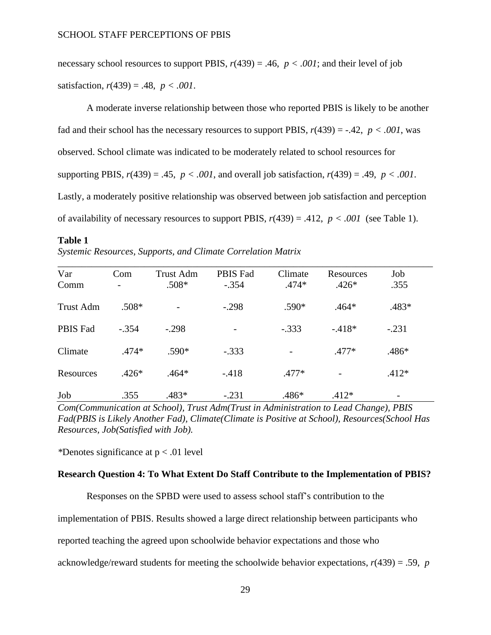necessary school resources to support PBIS,  $r(439) = .46$ ,  $p < .001$ ; and their level of job satisfaction,  $r(439) = .48$ ,  $p < .001$ .

A moderate inverse relationship between those who reported PBIS is likely to be another fad and their school has the necessary resources to support PBIS,  $r(439) = -.42$ ,  $p < .001$ , was observed. School climate was indicated to be moderately related to school resources for supporting PBIS,  $r(439) = .45$ ,  $p < .001$ , and overall job satisfaction,  $r(439) = .49$ ,  $p < .001$ . Lastly, a moderately positive relationship was observed between job satisfaction and perception of availability of necessary resources to support PBIS,  $r(439) = .412$ ,  $p < .001$  (see Table 1).

<span id="page-29-0"></span>**Table 1**

| Var             | Com     | <b>Trust Adm</b><br>$.508*$ | PBIS Fad<br>$-.354$ | Climate<br>$.474*$ | Resources<br>$.426*$ | Job<br>.355 |  |
|-----------------|---------|-----------------------------|---------------------|--------------------|----------------------|-------------|--|
| Comm            |         |                             |                     |                    |                      |             |  |
| Trust Adm       | $.508*$ |                             | $-.298$             | $.590*$            | $.464*$              | .483*       |  |
| <b>PBIS Fad</b> | $-.354$ | $-.298$                     |                     | $-.333$            | $-418*$              | $-.231$     |  |
| Climate         | $.474*$ | $.590*$                     | $-.333$             |                    | $.477*$              | .486*       |  |
| Resources       | $.426*$ | $.464*$                     | $-.418$             | $.477*$            |                      | $.412*$     |  |
| Job             | .355    | .483*                       | $-.231$             | $.486*$            | $.412*$              |             |  |

*Systemic Resources, Supports, and Climate Correlation Matrix*

*Com(Communication at School), Trust Adm(Trust in Administration to Lead Change), PBIS Fad(PBIS is Likely Another Fad), Climate(Climate is Positive at School), Resources(School Has Resources, Job(Satisfied with Job).*

*\**Denotes significance at p < .01 level

#### **Research Question 4: To What Extent Do Staff Contribute to the Implementation of PBIS?**

Responses on the SPBD were used to assess school staff's contribution to the

implementation of PBIS. Results showed a large direct relationship between participants who

reported teaching the agreed upon schoolwide behavior expectations and those who

acknowledge/reward students for meeting the schoolwide behavior expectations, *r*(439) = .59, *p*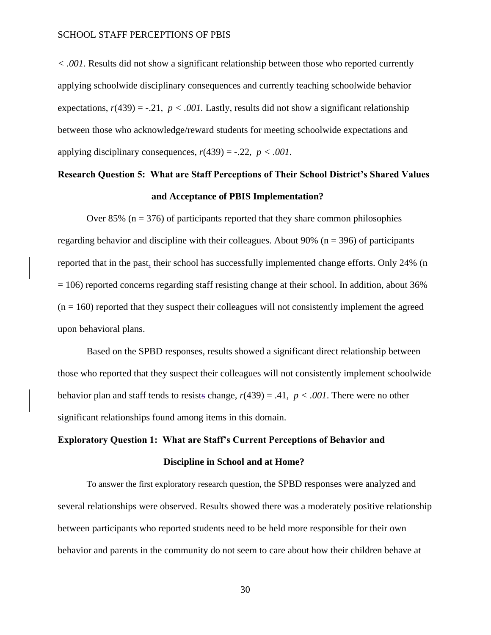*< .001*. Results did not show a significant relationship between those who reported currently applying schoolwide disciplinary consequences and currently teaching schoolwide behavior expectations,  $r(439) = -.21$ ,  $p < .001$ . Lastly, results did not show a significant relationship between those who acknowledge/reward students for meeting schoolwide expectations and applying disciplinary consequences,  $r(439) = -.22$ ,  $p < .001$ .

# **Research Question 5: What are Staff Perceptions of Their School District's Shared Values and Acceptance of PBIS Implementation?**

Over  $85\%$  (n = 376) of participants reported that they share common philosophies regarding behavior and discipline with their colleagues. About 90% ( $n = 396$ ) of participants reported that in the past, their school has successfully implemented change efforts. Only 24% (n  $= 106$ ) reported concerns regarding staff resisting change at their school. In addition, about 36%  $(n = 160)$  reported that they suspect their colleagues will not consistently implement the agreed upon behavioral plans.

Based on the SPBD responses, results showed a significant direct relationship between those who reported that they suspect their colleagues will not consistently implement schoolwide behavior plan and staff tends to resists change, *r*(439) = .41, *p < .001*. There were no other significant relationships found among items in this domain.

# **Exploratory Question 1: What are Staff's Current Perceptions of Behavior and Discipline in School and at Home?**

To answer the first exploratory research question, the SPBD responses were analyzed and several relationships were observed. Results showed there was a moderately positive relationship between participants who reported students need to be held more responsible for their own behavior and parents in the community do not seem to care about how their children behave at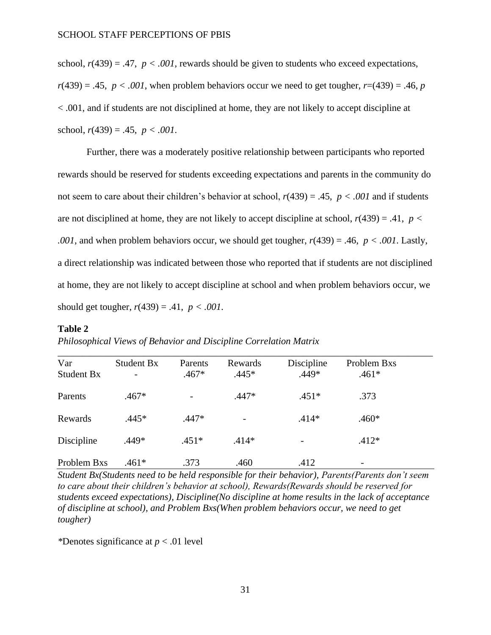school,  $r(439) = .47$ ,  $p < .001$ , rewards should be given to students who exceed expectations,  $r(439) = .45$ ,  $p < .001$ , when problem behaviors occur we need to get tougher,  $r=(439) = .46$ , *p* < .001, and if students are not disciplined at home, they are not likely to accept discipline at school, *r*(439) = .45, *p < .001*.

Further, there was a moderately positive relationship between participants who reported rewards should be reserved for students exceeding expectations and parents in the community do not seem to care about their children's behavior at school, *r*(439) = .45, *p < .001* and if students are not disciplined at home, they are not likely to accept discipline at school, *r*(439) = .41, *p < .001,* and when problem behaviors occur, we should get tougher, *r*(439) = .46, *p < .001*. Lastly, a direct relationship was indicated between those who reported that if students are not disciplined at home, they are not likely to accept discipline at school and when problem behaviors occur, we should get tougher, *r*(439) = .41, *p < .001*.

#### <span id="page-31-0"></span>**Table 2**

| Var<br>Student Bx | Student Bx | Parents<br>$.467*$ | Rewards<br>$.445*$       | Discipline<br>$.449*$ | Problem Bxs<br>$.461*$   |  |
|-------------------|------------|--------------------|--------------------------|-----------------------|--------------------------|--|
| Parents           | $.467*$    |                    | $.447*$                  | $.451*$               | .373                     |  |
| Rewards           | $.445*$    | $.447*$            | $\overline{\phantom{0}}$ | $.414*$               | .460*                    |  |
| Discipline        | .449*      | $.451*$            | $.414*$                  |                       | $.412*$                  |  |
| Problem Bxs       | .461*      | .373               | .460                     | .412                  | $\overline{\phantom{a}}$ |  |

*Student Bx(Students need to be held responsible for their behavior), Parents(Parents don't seem to care about their children's behavior at school), Rewards(Rewards should be reserved for students exceed expectations), Discipline(No discipline at home results in the lack of acceptance of discipline at school), and Problem Bxs(When problem behaviors occur, we need to get tougher)*

*\**Denotes significance at *p* < .01 level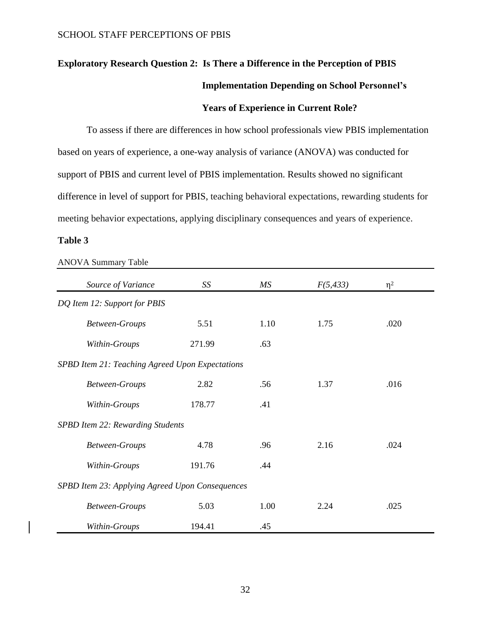# **Exploratory Research Question 2: Is There a Difference in the Perception of PBIS Implementation Depending on School Personnel's**

## <span id="page-32-0"></span>**Years of Experience in Current Role?**

To assess if there are differences in how school professionals view PBIS implementation based on years of experience, a one-way analysis of variance (ANOVA) was conducted for support of PBIS and current level of PBIS implementation. Results showed no significant difference in level of support for PBIS, teaching behavioral expectations, rewarding students for meeting behavior expectations, applying disciplinary consequences and years of experience.

## **Table 3**

<span id="page-32-1"></span>

| Source of Variance                              | SS     | МS   | F(5, 433) | $\eta^2$ |
|-------------------------------------------------|--------|------|-----------|----------|
| DQ Item 12: Support for PBIS                    |        |      |           |          |
| Between-Groups                                  | 5.51   | 1.10 | 1.75      | .020     |
| Within-Groups                                   | 271.99 | .63  |           |          |
| SPBD Item 21: Teaching Agreed Upon Expectations |        |      |           |          |
| <b>Between-Groups</b>                           | 2.82   | .56  | 1.37      | .016     |
| Within-Groups                                   | 178.77 | .41  |           |          |
| SPBD Item 22: Rewarding Students                |        |      |           |          |
| Between-Groups                                  | 4.78   | .96  | 2.16      | .024     |
| Within-Groups                                   | 191.76 | .44  |           |          |
| SPBD Item 23: Applying Agreed Upon Consequences |        |      |           |          |
| <b>Between-Groups</b>                           | 5.03   | 1.00 | 2.24      | .025     |
| Within-Groups                                   | 194.41 | .45  |           |          |

ANOVA Summary Table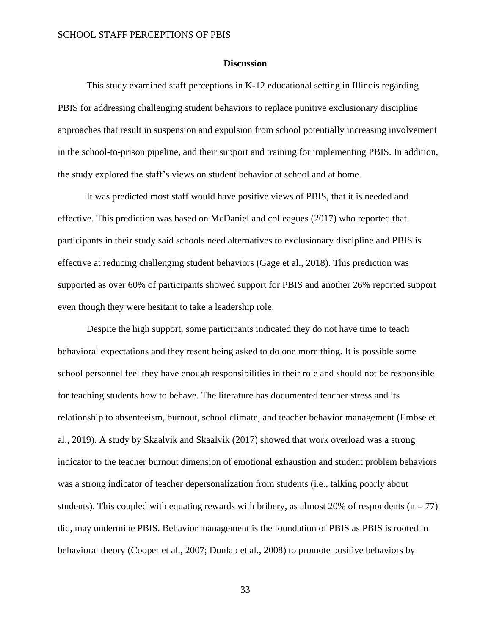#### **Discussion**

This study examined staff perceptions in K-12 educational setting in Illinois regarding PBIS for addressing challenging student behaviors to replace punitive exclusionary discipline approaches that result in suspension and expulsion from school potentially increasing involvement in the school-to-prison pipeline, and their support and training for implementing PBIS. In addition, the study explored the staff's views on student behavior at school and at home.

It was predicted most staff would have positive views of PBIS, that it is needed and effective. This prediction was based on McDaniel and colleagues (2017) who reported that participants in their study said schools need alternatives to exclusionary discipline and PBIS is effective at reducing challenging student behaviors (Gage et al., 2018). This prediction was supported as over 60% of participants showed support for PBIS and another 26% reported support even though they were hesitant to take a leadership role.

Despite the high support, some participants indicated they do not have time to teach behavioral expectations and they resent being asked to do one more thing. It is possible some school personnel feel they have enough responsibilities in their role and should not be responsible for teaching students how to behave. The literature has documented teacher stress and its relationship to absenteeism, burnout, school climate, and teacher behavior management (Embse et al., 2019). A study by Skaalvik and Skaalvik (2017) showed that work overload was a strong indicator to the teacher burnout dimension of emotional exhaustion and student problem behaviors was a strong indicator of teacher depersonalization from students (i.e., talking poorly about students). This coupled with equating rewards with bribery, as almost 20% of respondents ( $n = 77$ ) did, may undermine PBIS. Behavior management is the foundation of PBIS as PBIS is rooted in behavioral theory (Cooper et al., 2007; Dunlap et al., 2008) to promote positive behaviors by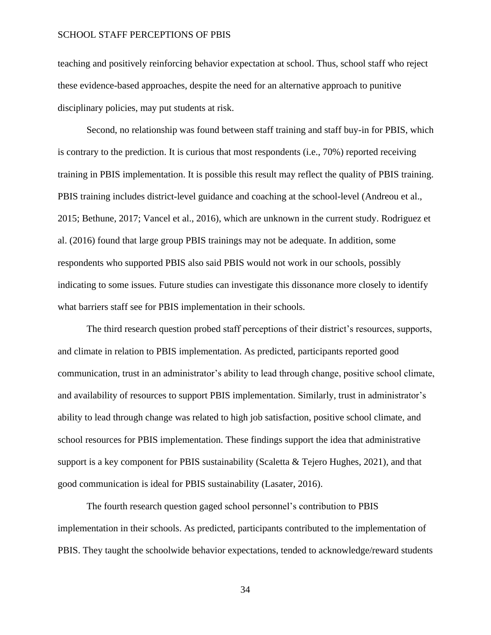teaching and positively reinforcing behavior expectation at school. Thus, school staff who reject these evidence-based approaches, despite the need for an alternative approach to punitive disciplinary policies, may put students at risk.

Second, no relationship was found between staff training and staff buy-in for PBIS, which is contrary to the prediction. It is curious that most respondents (i.e., 70%) reported receiving training in PBIS implementation. It is possible this result may reflect the quality of PBIS training. PBIS training includes district-level guidance and coaching at the school-level (Andreou et al., 2015; Bethune, 2017; Vancel et al., 2016), which are unknown in the current study. Rodriguez et al. (2016) found that large group PBIS trainings may not be adequate. In addition, some respondents who supported PBIS also said PBIS would not work in our schools, possibly indicating to some issues. Future studies can investigate this dissonance more closely to identify what barriers staff see for PBIS implementation in their schools.

The third research question probed staff perceptions of their district's resources, supports, and climate in relation to PBIS implementation. As predicted, participants reported good communication, trust in an administrator's ability to lead through change, positive school climate, and availability of resources to support PBIS implementation. Similarly, trust in administrator's ability to lead through change was related to high job satisfaction, positive school climate, and school resources for PBIS implementation. These findings support the idea that administrative support is a key component for PBIS sustainability (Scaletta  $\&$  Tejero Hughes, 2021), and that good communication is ideal for PBIS sustainability (Lasater, 2016).

The fourth research question gaged school personnel's contribution to PBIS implementation in their schools. As predicted, participants contributed to the implementation of PBIS. They taught the schoolwide behavior expectations, tended to acknowledge/reward students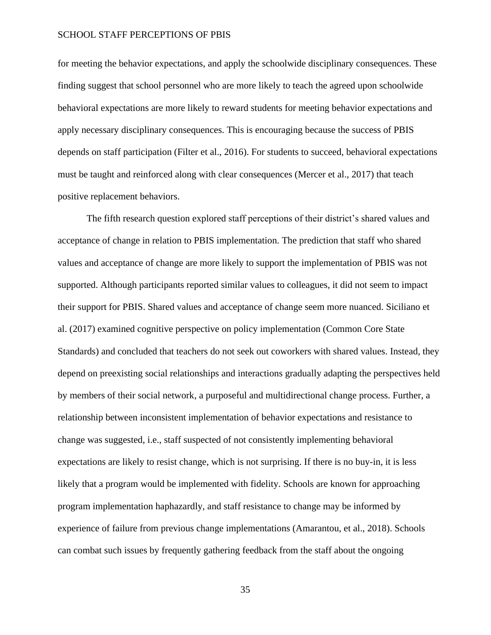for meeting the behavior expectations, and apply the schoolwide disciplinary consequences. These finding suggest that school personnel who are more likely to teach the agreed upon schoolwide behavioral expectations are more likely to reward students for meeting behavior expectations and apply necessary disciplinary consequences. This is encouraging because the success of PBIS depends on staff participation (Filter et al., 2016). For students to succeed, behavioral expectations must be taught and reinforced along with clear consequences (Mercer et al., 2017) that teach positive replacement behaviors.

The fifth research question explored staff perceptions of their district's shared values and acceptance of change in relation to PBIS implementation. The prediction that staff who shared values and acceptance of change are more likely to support the implementation of PBIS was not supported. Although participants reported similar values to colleagues, it did not seem to impact their support for PBIS. Shared values and acceptance of change seem more nuanced. Siciliano et al. (2017) examined cognitive perspective on policy implementation (Common Core State Standards) and concluded that teachers do not seek out coworkers with shared values. Instead, they depend on preexisting social relationships and interactions gradually adapting the perspectives held by members of their social network, a purposeful and multidirectional change process. Further, a relationship between inconsistent implementation of behavior expectations and resistance to change was suggested, i.e., staff suspected of not consistently implementing behavioral expectations are likely to resist change, which is not surprising. If there is no buy-in, it is less likely that a program would be implemented with fidelity. Schools are known for approaching program implementation haphazardly, and staff resistance to change may be informed by experience of failure from previous change implementations (Amarantou, et al., 2018). Schools can combat such issues by frequently gathering feedback from the staff about the ongoing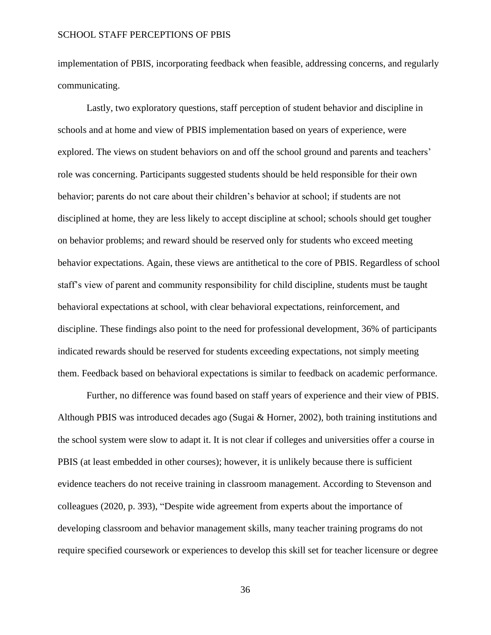implementation of PBIS, incorporating feedback when feasible, addressing concerns, and regularly communicating.

Lastly, two exploratory questions, staff perception of student behavior and discipline in schools and at home and view of PBIS implementation based on years of experience, were explored. The views on student behaviors on and off the school ground and parents and teachers' role was concerning. Participants suggested students should be held responsible for their own behavior; parents do not care about their children's behavior at school; if students are not disciplined at home, they are less likely to accept discipline at school; schools should get tougher on behavior problems; and reward should be reserved only for students who exceed meeting behavior expectations. Again, these views are antithetical to the core of PBIS. Regardless of school staff's view of parent and community responsibility for child discipline, students must be taught behavioral expectations at school, with clear behavioral expectations, reinforcement, and discipline. These findings also point to the need for professional development, 36% of participants indicated rewards should be reserved for students exceeding expectations, not simply meeting them. Feedback based on behavioral expectations is similar to feedback on academic performance.

Further, no difference was found based on staff years of experience and their view of PBIS. Although PBIS was introduced decades ago (Sugai & Horner, 2002), both training institutions and the school system were slow to adapt it. It is not clear if colleges and universities offer a course in PBIS (at least embedded in other courses); however, it is unlikely because there is sufficient evidence teachers do not receive training in classroom management. According to Stevenson and colleagues (2020, p. 393), "Despite wide agreement from experts about the importance of developing classroom and behavior management skills, many teacher training programs do not require specified coursework or experiences to develop this skill set for teacher licensure or degree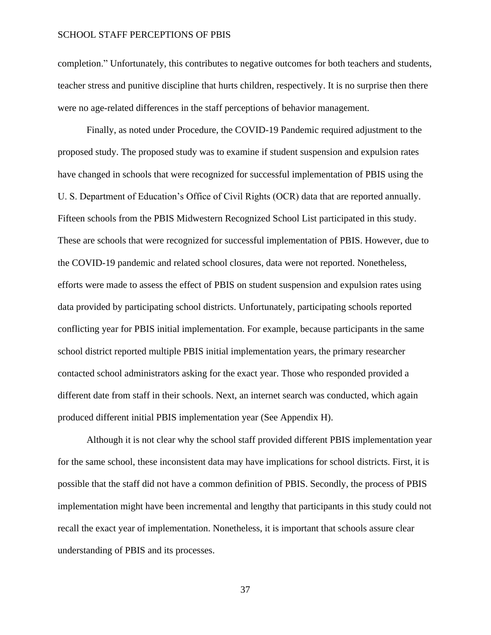completion." Unfortunately, this contributes to negative outcomes for both teachers and students, teacher stress and punitive discipline that hurts children, respectively. It is no surprise then there were no age-related differences in the staff perceptions of behavior management.

Finally, as noted under Procedure, the COVID-19 Pandemic required adjustment to the proposed study. The proposed study was to examine if student suspension and expulsion rates have changed in schools that were recognized for successful implementation of PBIS using the U. S. Department of Education's Office of Civil Rights (OCR) data that are reported annually. Fifteen schools from the PBIS Midwestern Recognized School List participated in this study. These are schools that were recognized for successful implementation of PBIS. However, due to the COVID-19 pandemic and related school closures, data were not reported. Nonetheless, efforts were made to assess the effect of PBIS on student suspension and expulsion rates using data provided by participating school districts. Unfortunately, participating schools reported conflicting year for PBIS initial implementation. For example, because participants in the same school district reported multiple PBIS initial implementation years, the primary researcher contacted school administrators asking for the exact year. Those who responded provided a different date from staff in their schools. Next, an internet search was conducted, which again produced different initial PBIS implementation year (See Appendix H).

Although it is not clear why the school staff provided different PBIS implementation year for the same school, these inconsistent data may have implications for school districts. First, it is possible that the staff did not have a common definition of PBIS. Secondly, the process of PBIS implementation might have been incremental and lengthy that participants in this study could not recall the exact year of implementation. Nonetheless, it is important that schools assure clear understanding of PBIS and its processes.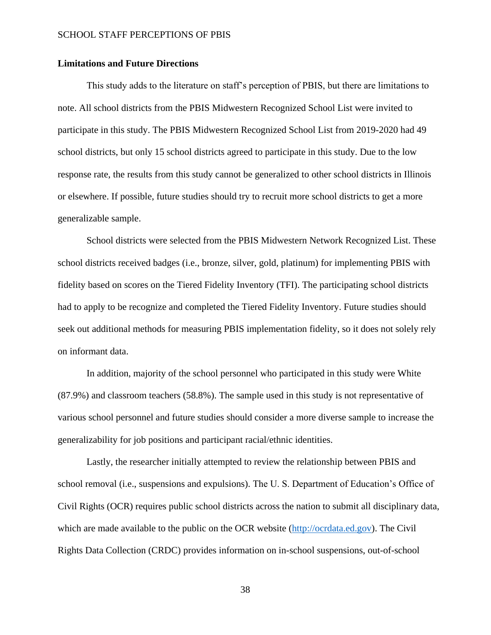#### **Limitations and Future Directions**

This study adds to the literature on staff's perception of PBIS, but there are limitations to note. All school districts from the PBIS Midwestern Recognized School List were invited to participate in this study. The PBIS Midwestern Recognized School List from 2019-2020 had 49 school districts, but only 15 school districts agreed to participate in this study. Due to the low response rate, the results from this study cannot be generalized to other school districts in Illinois or elsewhere. If possible, future studies should try to recruit more school districts to get a more generalizable sample.

School districts were selected from the PBIS Midwestern Network Recognized List. These school districts received badges (i.e., bronze, silver, gold, platinum) for implementing PBIS with fidelity based on scores on the Tiered Fidelity Inventory (TFI). The participating school districts had to apply to be recognize and completed the Tiered Fidelity Inventory. Future studies should seek out additional methods for measuring PBIS implementation fidelity, so it does not solely rely on informant data.

In addition, majority of the school personnel who participated in this study were White (87.9%) and classroom teachers (58.8%). The sample used in this study is not representative of various school personnel and future studies should consider a more diverse sample to increase the generalizability for job positions and participant racial/ethnic identities.

Lastly, the researcher initially attempted to review the relationship between PBIS and school removal (i.e., suspensions and expulsions). The U. S. Department of Education's Office of Civil Rights (OCR) requires public school districts across the nation to submit all disciplinary data, which are made available to the public on the OCR website [\(http://ocrdata.ed.gov\)](http://ocrdata.ed.gov/). The Civil Rights Data Collection (CRDC) provides information on in-school suspensions, out-of-school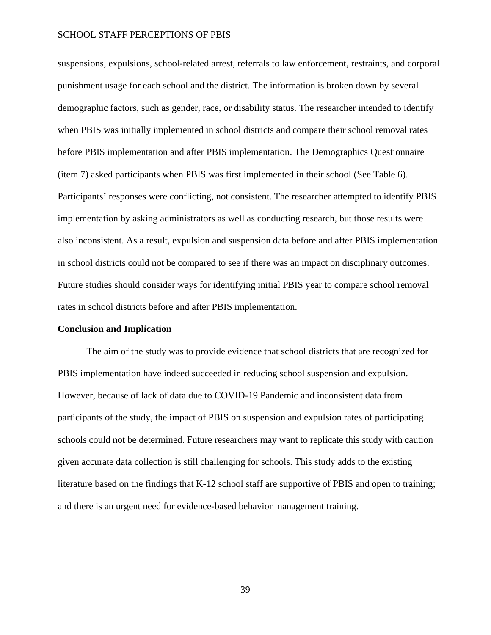suspensions, expulsions, school-related arrest, referrals to law enforcement, restraints, and corporal punishment usage for each school and the district. The information is broken down by several demographic factors, such as gender, race, or disability status. The researcher intended to identify when PBIS was initially implemented in school districts and compare their school removal rates before PBIS implementation and after PBIS implementation. The Demographics Questionnaire (item 7) asked participants when PBIS was first implemented in their school (See Table 6). Participants' responses were conflicting, not consistent. The researcher attempted to identify PBIS implementation by asking administrators as well as conducting research, but those results were also inconsistent. As a result, expulsion and suspension data before and after PBIS implementation in school districts could not be compared to see if there was an impact on disciplinary outcomes. Future studies should consider ways for identifying initial PBIS year to compare school removal rates in school districts before and after PBIS implementation.

#### **Conclusion and Implication**

The aim of the study was to provide evidence that school districts that are recognized for PBIS implementation have indeed succeeded in reducing school suspension and expulsion. However, because of lack of data due to COVID-19 Pandemic and inconsistent data from participants of the study, the impact of PBIS on suspension and expulsion rates of participating schools could not be determined. Future researchers may want to replicate this study with caution given accurate data collection is still challenging for schools. This study adds to the existing literature based on the findings that K-12 school staff are supportive of PBIS and open to training; and there is an urgent need for evidence-based behavior management training.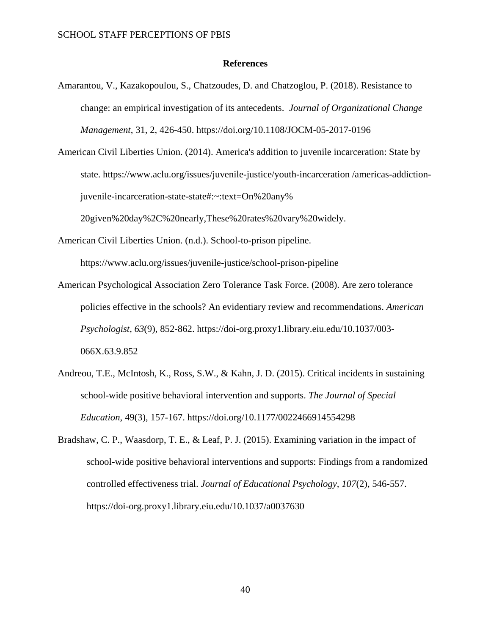#### **References**

- <span id="page-40-0"></span>[Amarantou, V.,](https://www.emerald.com/insight/search?q=Vasiliki%20Amarantou) [Kazakopoulou, S.,](https://www.emerald.com/insight/search?q=Stergiani%20Kazakopoulou) [Chatzoudes, D.](https://www.emerald.com/insight/search?q=Dimitrios%20Chatzoudes) and [Chatzoglou, P.](https://www.emerald.com/insight/search?q=Prodromos%20Chatzoglou) (2018). Resistance to change: an empirical investigation of its antecedents. *[Journal of Organizational Change](https://www.emerald.com/insight/publication/issn/0953-4814)  [Management](https://www.emerald.com/insight/publication/issn/0953-4814)*, 31, 2, 426-450. <https://doi.org/10.1108/JOCM-05-2017-0196>
- American Civil Liberties Union. (2014). America's addition to juvenile incarceration: State by state. https://www.aclu.org/issues/juvenile-justice/youth-incarceration /americas-addictionjuvenile-incarceration-state-state#:~:text=On%20any% 20given%20day%2C%20nearly,These%20rates%20vary%20widely.
- American Civil Liberties Union. (n.d.). School-to-prison pipeline. https://www.aclu.org/issues/juvenile-justice/school-prison-pipeline
- American Psychological Association Zero Tolerance Task Force. (2008). Are zero tolerance policies effective in the schools? An evidentiary review and recommendations. *American Psychologist, 63*(9), 852-862. [https://doi-org.proxy1.library.eiu.edu/10.1037/003-](https://doi-org.proxy1.library.eiu.edu/10.1037/003-066X.63.9.852) [066X.63.9.852](https://doi-org.proxy1.library.eiu.edu/10.1037/003-066X.63.9.852)
- Andreou, T.E., McIntosh, K., Ross, S.W., & Kahn, J. D. (2015). Critical incidents in sustaining school-wide positive behavioral intervention and supports. *The Journal of Special Education*, 49(3), 157-167. https://doi.org/10.1177/0022466914554298
- Bradshaw, C. P., Waasdorp, T. E., & Leaf, P. J. (2015). Examining variation in the impact of school-wide positive behavioral interventions and supports: Findings from a randomized controlled effectiveness trial. *Journal of Educational Psychology, 107*(2), 546-557. <https://doi-org.proxy1.library.eiu.edu/10.1037/a0037630>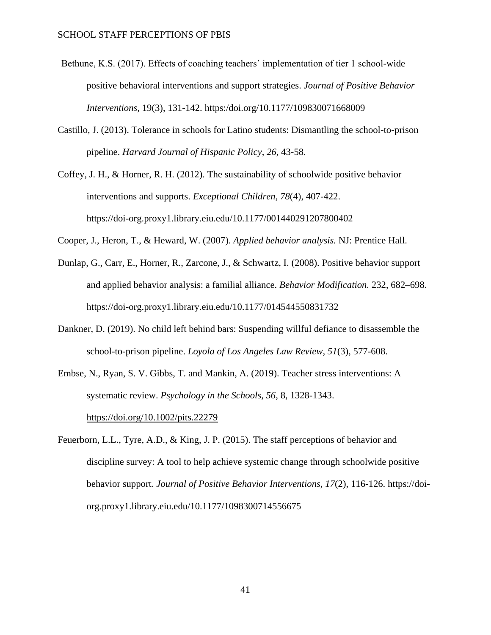- Bethune, K.S. (2017). Effects of coaching teachers' implementation of tier 1 school-wide positive behavioral interventions and support strategies. *Journal of Positive Behavior Interventions,* 19(3), 131-142. https:/doi.org/10.1177/109830071668009
- Castillo, J. (2013). Tolerance in schools for Latino students: Dismantling the school-to-prison pipeline. *Harvard Journal of Hispanic Policy*, *26*, 43-58.
- Coffey, J. H., & Horner, R. H. (2012). The sustainability of schoolwide positive behavior interventions and supports. *Exceptional Children, 78*(4), 407-422. https://doi-org.proxy1.library.eiu.edu/10.1177/001440291207800402
- Cooper, J., Heron, T., & Heward, W. (2007). *Applied behavior analysis.* NJ: Prentice Hall.
- Dunlap, G., Carr, E., Horner, R., Zarcone, J., & Schwartz, I. (2008). Positive behavior support and applied behavior analysis: a familial alliance. *Behavior Modification.* 232, 682–698. https://doi-org.proxy1.library.eiu.edu/10.1177/014544550831732
- Dankner, D. (2019). No child left behind bars: Suspending willful defiance to disassemble the school-to-prison pipeline. *Loyola of Los Angeles Law Review, 51*(3), 577-608.
- Embse, N., Ryan, S. V. Gibbs, T. and Mankin, A. (2019). Teacher stress interventions: A systematic review. *Psychology in the Schools, 56*, 8, 1328-1343. <https://doi.org/10.1002/pits.22279>
- Feuerborn, L.L., Tyre, A.D., & King, J. P. (2015). The staff perceptions of behavior and discipline survey: A tool to help achieve systemic change through schoolwide positive behavior support. *Journal of Positive Behavior Interventions, 17*(2), 116-126. https://doiorg.proxy1.library.eiu.edu/10.1177/1098300714556675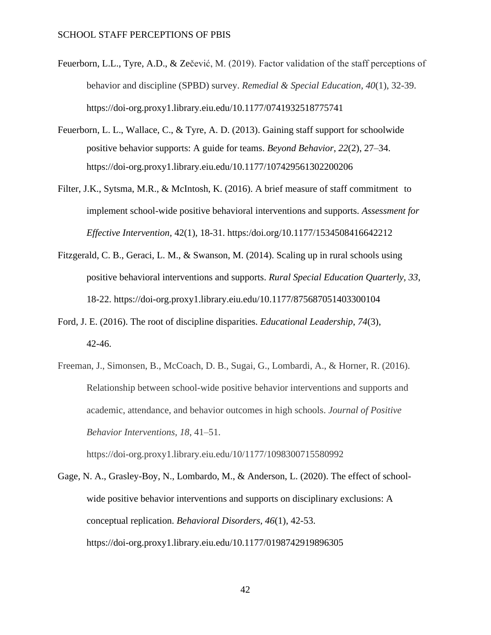- Feuerborn, L.L., Tyre, A.D., & Zečević, M. (2019). Factor validation of the staff perceptions of behavior and discipline (SPBD) survey. *Remedial & Special Education, 40*(1), 32-39. <https://doi-org.proxy1.library.eiu.edu/10.1177/0741932518775741>
- Feuerborn, L. L., Wallace, C., & Tyre, A. D. (2013). Gaining staff support for schoolwide positive behavior supports: A guide for teams. *Beyond Behavior*, *22*(2), 27–34. <https://doi-org.proxy1.library.eiu.edu/10.1177/107429561302200206>
- Filter, J.K., Sytsma, M.R., & McIntosh, K. (2016). A brief measure of staff commitment to implement school-wide positive behavioral interventions and supports. *Assessment for Effective Intervention,* 42(1), 18-31. https:/doi.org/10.1177/1534508416642212
- Fitzgerald, C. B., Geraci, L. M., & Swanson, M. (2014). Scaling up in rural schools using positive behavioral interventions and supports. *Rural Special Education Quarterly, 33*, 18-22. https://doi-org.proxy1.library.eiu.edu/10.1177/875687051403300104
- Ford, J. E. (2016). The root of discipline disparities. *Educational Leadership*, *74*(3), 42-46.
- Freeman, J., Simonsen, B., McCoach, D. B., Sugai, G., Lombardi, A., & Horner, R. (2016). Relationship between school-wide positive behavior interventions and supports and academic, attendance, and behavior outcomes in high schools. *Journal of Positive Behavior Interventions, 18*, 41–51.

https://doi-org.proxy1.library.eiu.edu/10/1177/1098300715580992

Gage, N. A., Grasley-Boy, N., Lombardo, M., & Anderson, L. (2020). The effect of schoolwide positive behavior interventions and supports on disciplinary exclusions: A conceptual replication. *Behavioral Disorders, 46*(1), 42-53. https://doi-org.proxy1.library.eiu.edu/10.1177/0198742919896305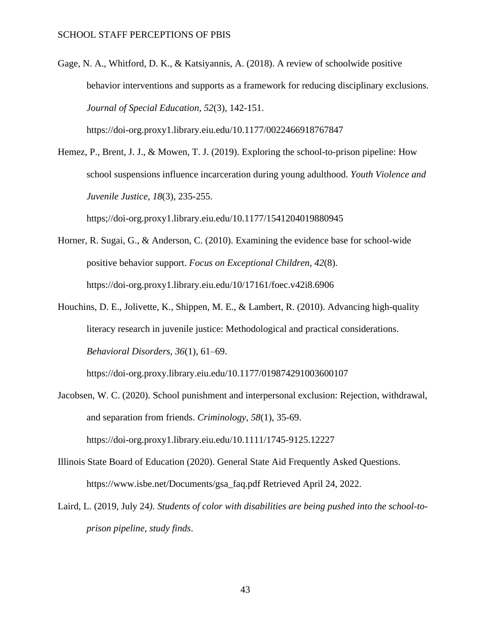Gage, N. A., Whitford, D. K., & Katsiyannis, A. (2018). A review of schoolwide positive behavior interventions and supports as a framework for reducing disciplinary exclusions. *Journal of Special Education, 52*(3), 142-151.

https://doi-org.proxy1.library.eiu.edu/10.1177/0022466918767847

Hemez, P., Brent, J. J., & Mowen, T. J. (2019). Exploring the school-to-prison pipeline: How school suspensions influence incarceration during young adulthood. *Youth Violence and Juvenile Justice, 18*(3), 235-255.

https;//doi-org.proxy1.library.eiu.edu/10.1177/1541204019880945

- Horner, R. Sugai, G., & Anderson, C. (2010). Examining the evidence base for school-wide positive behavior support. *Focus on Exceptional Children, 42*(8). https://doi-org.proxy1.library.eiu.edu/10/17161/foec.v42i8.6906
- Houchins, D. E., Jolivette, K., Shippen, M. E., & Lambert, R. (2010). Advancing high-quality literacy research in juvenile justice: Methodological and practical considerations. *Behavioral Disorders, 36*(1), 61–69.

https://doi-org.proxy.library.eiu.edu/10.1177/019874291003600107

- Jacobsen, W. C. (2020). School punishment and interpersonal exclusion: Rejection, withdrawal, and separation from friends. *Criminology, 58*(1), 35-69. <https://doi-org.proxy1.library.eiu.edu/10.1111/1745-9125.12227>
- Illinois State Board of Education (2020). General State Aid Frequently Asked Questions. [https://www.isbe.net/Documents/gsa\\_faq.pdf](https://www.isbe.net/Documents/gsa_faq.pdf) Retrieved April 24, 2022.
- Laird, L. (2019, July 24*). Students of color with disabilities are being pushed into the school-toprison pipeline, study finds*.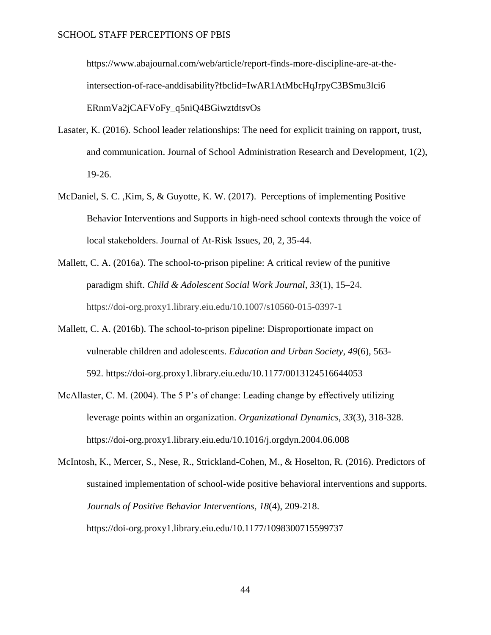[https://www.abajournal.com/web/article/report-finds-more-discipline-are-at-the](https://www.abajournal.com/web/article/report-finds-more-discipline-are-at-the-intersection-of-race-anddisability?fbclid=IwAR1AtMbcHqJrpyC3BSmu3lci6%20ERnmVa2jCAFVoFy_q5niQ4BGiwztdtsvOs)[intersection-of-race-anddisability?fbclid=IwAR1AtMbcHqJrpyC3BSmu3lci6](https://www.abajournal.com/web/article/report-finds-more-discipline-are-at-the-intersection-of-race-anddisability?fbclid=IwAR1AtMbcHqJrpyC3BSmu3lci6%20ERnmVa2jCAFVoFy_q5niQ4BGiwztdtsvOs)  [ERnmVa2jCAFVoFy\\_q5niQ4BGiwztdtsvOs](https://www.abajournal.com/web/article/report-finds-more-discipline-are-at-the-intersection-of-race-anddisability?fbclid=IwAR1AtMbcHqJrpyC3BSmu3lci6%20ERnmVa2jCAFVoFy_q5niQ4BGiwztdtsvOs)

- Lasater, K. (2016). School leader relationships: The need for explicit training on rapport, trust, and communication. Journal of School Administration Research and Development, 1(2), 19-26.
- McDaniel, S. C. ,Kim, S, & Guyotte, K. W. (2017). Perceptions of implementing Positive Behavior Interventions and Supports in high-need school contexts through the voice of local stakeholders. Journal of At-Risk Issues, 20, 2, 35-44.
- Mallett, C. A. (2016a). The school-to-prison pipeline: A critical review of the punitive paradigm shift. *Child & Adolescent Social Work Journal*, *33*(1), 15–24. https://doi-org.proxy1.library.eiu.edu/10.1007/s10560-015-0397-1
- Mallett, C. A. (2016b). The school-to-prison pipeline: Disproportionate impact on vulnerable children and adolescents. *Education and Urban Society*, *49*(6), 563- 592. https://doi-org.proxy1.library.eiu.edu/10.1177/0013124516644053
- McAllaster, C. M. (2004). The 5 P's of change: Leading change by effectively utilizing leverage points within an organization. *Organizational Dynamics*, *33*(3), 318-328. https://doi-org.proxy1.library.eiu.edu/10.1016/j.orgdyn.2004.06.008
- McIntosh, K., Mercer, S., Nese, R., Strickland-Cohen, M., & Hoselton, R. (2016). Predictors of sustained implementation of school-wide positive behavioral interventions and supports. *Journals of Positive Behavior Interventions, 18*(4), 209-218. <https://doi-org.proxy1.library.eiu.edu/10.1177/1098300715599737>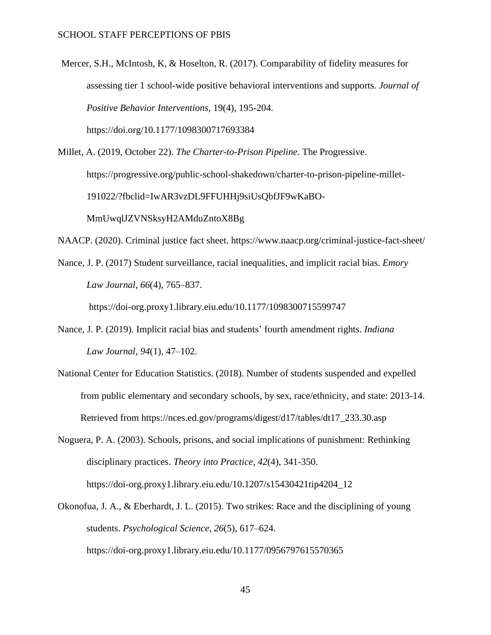Mercer, S.H., McIntosh, K, & Hoselton, R. (2017). Comparability of fidelity measures for assessing tier 1 school-wide positive behavioral interventions and supports*. Journal of Positive Behavior Interventions,* 19(4), 195-204. https://doi.org/10.1177/1098300717693384

Millet, A. (2019, October 22). *The Charter-to-Prison Pipeline*. The Progressive. [https://progressive.org/public-school-shakedown/charter-to-prison-pipeline-millet-](https://progressive.org/public-school-shakedown/charter-to-prison-pipeline-millet-191022/?fbclid=IwAR3vzDL9FFUHHj9siUsQbfJF9wKaBO-MmUwqlJZVNSksyH2AMduZntoX8Bg)[191022/?fbclid=IwAR3vzDL9FFUHHj9siUsQbfJF9wKaBO-](https://progressive.org/public-school-shakedown/charter-to-prison-pipeline-millet-191022/?fbclid=IwAR3vzDL9FFUHHj9siUsQbfJF9wKaBO-MmUwqlJZVNSksyH2AMduZntoX8Bg)[MmUwqlJZVNSksyH2AMduZntoX8Bg](https://progressive.org/public-school-shakedown/charter-to-prison-pipeline-millet-191022/?fbclid=IwAR3vzDL9FFUHHj9siUsQbfJF9wKaBO-MmUwqlJZVNSksyH2AMduZntoX8Bg)

NAACP. (2020). Criminal justice fact sheet.<https://www.naacp.org/criminal-justice-fact-sheet/>

Nance, J. P. (2017) Student surveillance, racial inequalities, and implicit racial bias. *Emory Law Journal*, *66*(4), 765–837.

https://doi-org.proxy1.library.eiu.edu/10.1177/1098300715599747

- Nance, J. P. (2019). Implicit racial bias and students' fourth amendment rights. *Indiana Law Journal*, *94*(1), 47–102.
- National Center for Education Statistics. (2018). Number of students suspended and expelled from public elementary and secondary schools, by sex, race/ethnicity, and state: 2013-14. Retrieved from https://nces.ed.gov/programs/digest/d17/tables/dt17\_233.30.asp
- Noguera, P. A. (2003). Schools, prisons, and social implications of punishment: Rethinking disciplinary practices. *Theory into Practice*, *42*(4), 341-350. https://doi-org.proxy1.library.eiu.edu/10.1207/s15430421tip4204\_12
- Okonofua, J. A., & Eberhardt, J. L. (2015). Two strikes: Race and the disciplining of young students. *Psychological Science, 26*(5), 617–624. https://doi-org.proxy1.library.eiu.edu/10.1177/0956797615570365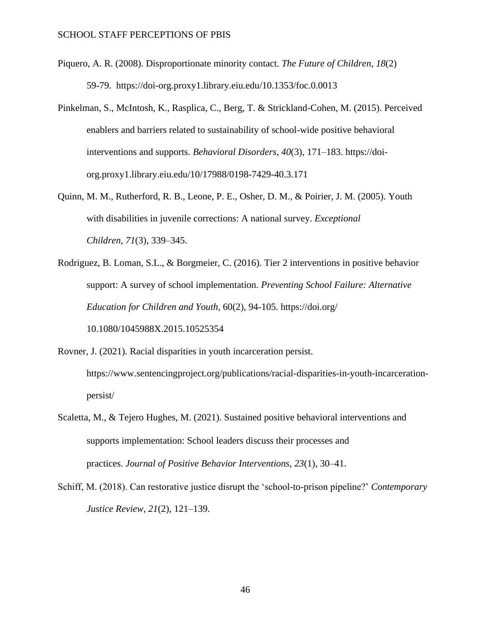- Piquero, A. R. (2008). Disproportionate minority contact. *The Future of Children, 18*(2) 59-79. https://doi-org.proxy1.library.eiu.edu/10.1353/foc.0.0013
- Pinkelman, S., McIntosh, K., Rasplica, C., Berg, T. & Strickland-Cohen, M. (2015). Perceived enablers and barriers related to sustainability of school-wide positive behavioral interventions and supports. *Behavioral Disorders*, *40*(3), 171–183. https://doiorg.proxy1.library.eiu.edu/10/17988/0198-7429-40.3.171
- Quinn, M. M., Rutherford, R. B., Leone, P. E., Osher, D. M., & Poirier, J. M. (2005). Youth with disabilities in juvenile corrections: A national survey. *Exceptional Children*, *71*(3), 339–345.
- Rodriguez, B. Loman, S.L., & Borgmeier, C. (2016). Tier 2 interventions in positive behavior support: A survey of school implementation. *Preventing School Failure: Alternative Education for Children and Youth*, 60(2), 94-105. https://doi.org/ 10.1080/1045988X.2015.10525354
- Rovner, J. (2021). Racial disparities in youth incarceration persist. [https://www.sentencingproject.org/publications/racial-disparities-in-youth-incarceration](https://www.sentencingproject.org/publications/racial-disparities-in-youth-incarceration-persist/)[persist/](https://www.sentencingproject.org/publications/racial-disparities-in-youth-incarceration-persist/)
- Scaletta, M., & Tejero Hughes, M. (2021). Sustained positive behavioral interventions and supports implementation: School leaders discuss their processes and practices. *Journal of Positive Behavior Interventions*, *23*(1), 30–41.
- Schiff, M. (2018). Can restorative justice disrupt the 'school-to-prison pipeline?' *Contemporary Justice Review*, *21*(2), 121–139.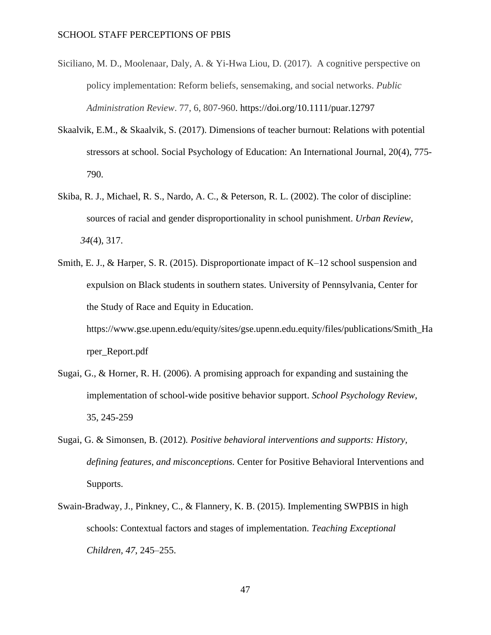- Siciliano, M. D., Moolenaar, Daly, A. & Yi-Hwa Liou, D. (2017). A cognitive perspective on policy implementation: Reform beliefs, sensemaking, and social networks. *Public Administration Review*. 77, 6, 807-960.<https://doi.org/10.1111/puar.12797>
- Skaalvik, E.M., & Skaalvik, S. (2017). Dimensions of teacher burnout: Relations with potential stressors at school. Social Psychology of Education: An International Journal, 20(4), 775- 790.
- Skiba, R. J., Michael, R. S., Nardo, A. C., & Peterson, R. L. (2002). The color of discipline: sources of racial and gender disproportionality in school punishment. *Urban Review*, *34*(4), 317.
- Smith, E. J., & Harper, S. R. (2015). Disproportionate impact of K–12 school suspension and expulsion on Black students in southern states. University of Pennsylvania, Center for the Study of Race and Equity in Education. [https://www.gse.upenn.edu/equity/sites/gse.upenn.edu.equity/files/publications/Smith\\_Ha](https://www.gse.upenn.edu/equity/sites/gse.upenn.edu.equity/files/publications/Smith_Harper_Report.pdf)

[rper\\_Report.pdf](https://www.gse.upenn.edu/equity/sites/gse.upenn.edu.equity/files/publications/Smith_Harper_Report.pdf)

- Sugai, G., & Horner, R. H. (2006). A promising approach for expanding and sustaining the implementation of school-wide positive behavior support. *School Psychology Review*, 35, 245-259
- Sugai, G. & Simonsen, B. (2012)*. Positive behavioral interventions and supports: History, defining features, and misconceptions.* Center for Positive Behavioral Interventions and Supports.
- Swain-Bradway, J., Pinkney, C., & Flannery, K. B. (2015). Implementing SWPBIS in high schools: Contextual factors and stages of implementation. *Teaching Exceptional Children, 47*, 245–255.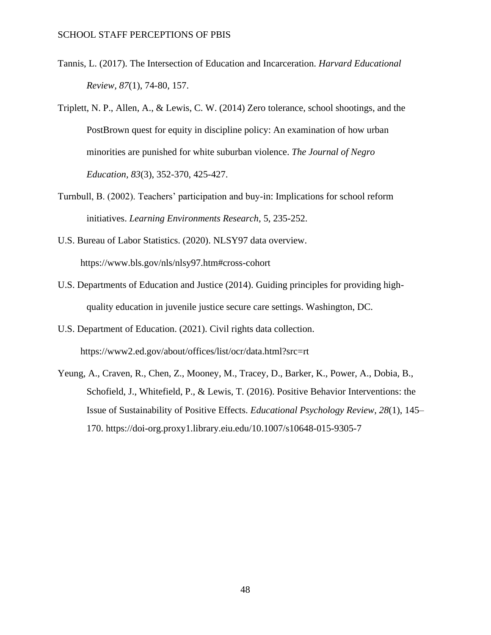- Tannis, L. (2017). The Intersection of Education and Incarceration. *Harvard Educational Review, 87*(1), 74-80, 157.
- Triplett, N. P., Allen, A., & Lewis, C. W. (2014) Zero tolerance, school shootings, and the PostBrown quest for equity in discipline policy: An examination of how urban minorities are punished for white suburban violence. *The Journal of Negro Education, 83*(3), 352-370, 425-427.
- Turnbull, B. (2002). Teachers' participation and buy-in: Implications for school reform initiatives. *Learning Environments Research*, 5, 235-252.
- U.S. Bureau of Labor Statistics. (2020). NLSY97 data overview. https://www.bls.gov/nls/nlsy97.htm#cross-cohort
- U.S. Departments of Education and Justice (2014). Guiding principles for providing highquality education in juvenile justice secure care settings. Washington, DC.
- U.S. Department of Education. (2021). Civil rights data collection. <https://www2.ed.gov/about/offices/list/ocr/data.html?src=rt>
- Yeung, A., Craven, R., Chen, Z., Mooney, M., Tracey, D., Barker, K., Power, A., Dobia, B., Schofield, J., Whitefield, P., & Lewis, T. (2016). Positive Behavior Interventions: the Issue of Sustainability of Positive Effects. *Educational Psychology Review*, *28*(1), 145– 170.<https://doi-org.proxy1.library.eiu.edu/10.1007/s10648-015-9305-7>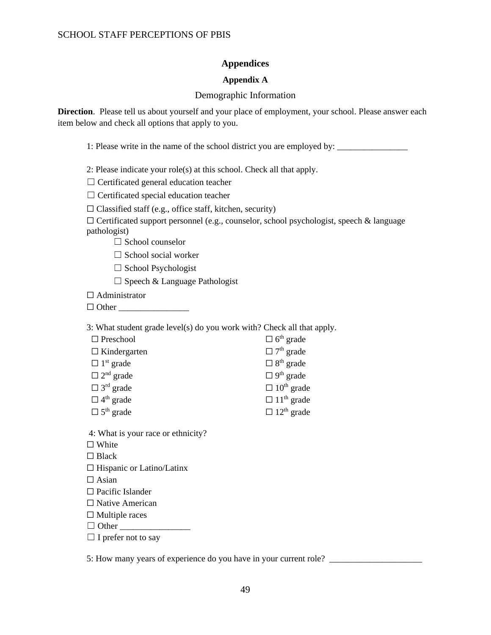## **Appendices**

## **Appendix A**

## Demographic Information

<span id="page-49-1"></span><span id="page-49-0"></span>**Direction**. Please tell us about yourself and your place of employment, your school. Please answer each item below and check all options that apply to you.

1: Please write in the name of the school district you are employed by:

2: Please indicate your role(s) at this school. Check all that apply.

 $\Box$  Certificated general education teacher

☐ Certificated special education teacher

 $\Box$  Classified staff (e.g., office staff, kitchen, security)

 $\Box$  Certificated support personnel (e.g., counselor, school psychologist, speech & language pathologist)

□ School counselor

□ School social worker

☐ School Psychologist

 $\Box$  Speech & Language Pathologist

□ Administrator

☐ Other \_\_\_\_\_\_\_\_\_\_\_\_\_\_\_\_

3: What student grade level(s) do you work with? Check all that apply.

| $\Box$ Preschool             | $\Box$ 6 <sup>th</sup> grade  |
|------------------------------|-------------------------------|
| $\Box$ Kindergarten          | $\Box$ 7 <sup>th</sup> grade  |
| $\Box$ 1 <sup>st</sup> grade | $\Box$ 8 <sup>th</sup> grade  |
| $\Box$ 2 <sup>nd</sup> grade | $\Box$ 9 <sup>th</sup> grade  |
| $\Box$ 3 <sup>rd</sup> grade | $\Box$ 10 <sup>th</sup> grade |
| $\Box$ 4 <sup>th</sup> grade | $\Box$ 11 <sup>th</sup> grade |
| $\Box$ 5 <sup>th</sup> grade | $\Box$ 12 <sup>th</sup> grade |

4: What is your race or ethnicity?

□ White

□ Black

☐ Hispanic or Latino/Latinx

 $\square$  Asian

☐ Pacific Islander

□ Native American

 $\Box$  Multiple races

 $\Box$  Other

□ I prefer not to say

5: How many years of experience do you have in your current role? \_\_\_\_\_\_\_\_\_\_\_\_\_\_\_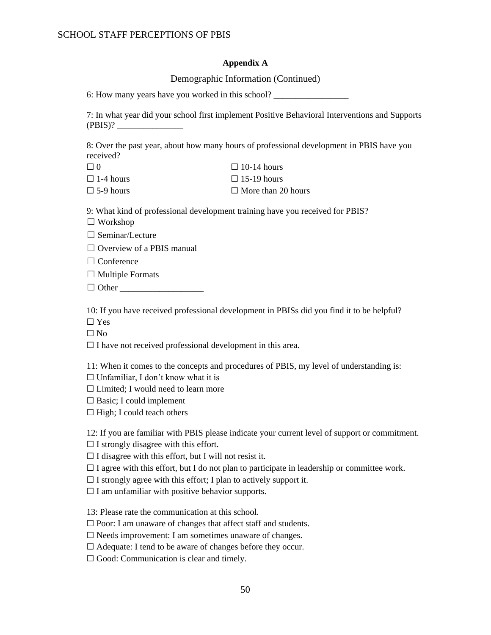#### **Appendix A**

#### Demographic Information (Continued)

6: How many years have you worked in this school?

7: In what year did your school first implement Positive Behavioral Interventions and Supports  $(PBIS)?$ 

8: Over the past year, about how many hours of professional development in PBIS have you received?

| $\Box$ 0         | $\Box$ 10-14 hours        |
|------------------|---------------------------|
| $\Box$ 1-4 hours | $\Box$ 15-19 hours        |
| $\Box$ 5-9 hours | $\Box$ More than 20 hours |

9: What kind of professional development training have you received for PBIS?

☐ Workshop

□ Seminar/Lecture

 $\Box$  Overview of a PBIS manual

□ Conference

 $\Box$  Multiple Formats

 $\Box$  Other

10: If you have received professional development in PBISs did you find it to be helpful?

☐ Yes

 $\square$  No

 $\Box$  I have not received professional development in this area.

11: When it comes to the concepts and procedures of PBIS, my level of understanding is:

 $\Box$  Unfamiliar, I don't know what it is

 $\Box$  Limited: I would need to learn more

 $\square$  Basic; I could implement

 $\Box$  High; I could teach others

12: If you are familiar with PBIS please indicate your current level of support or commitment.

 $\Box$  I strongly disagree with this effort.

 $\Box$  I disagree with this effort, but I will not resist it.

 $\Box$  I agree with this effort, but I do not plan to participate in leadership or committee work.

 $\Box$  I strongly agree with this effort; I plan to actively support it.

 $\Box$  I am unfamiliar with positive behavior supports.

13: Please rate the communication at this school.

□ Poor: I am unaware of changes that affect staff and students.

 $\Box$  Needs improvement: I am sometimes unaware of changes.

☐ Adequate: I tend to be aware of changes before they occur.

 $\Box$  Good: Communication is clear and timely.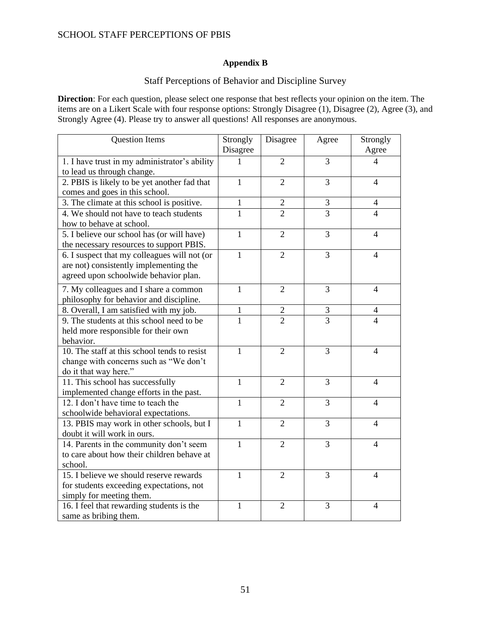## **Appendix B**

## Staff Perceptions of Behavior and Discipline Survey

**Direction**: For each question, please select one response that best reflects your opinion on the item. The items are on a Likert Scale with four response options: Strongly Disagree (1), Disagree (2), Agree (3), and Strongly Agree (4). Please try to answer all questions! All responses are anonymous.

| <b>Question Items</b>                         | Strongly     | Disagree       | Agree          | Strongly       |
|-----------------------------------------------|--------------|----------------|----------------|----------------|
|                                               | Disagree     |                |                | Agree          |
| 1. I have trust in my administrator's ability | 1            | $\overline{2}$ | 3              | 4              |
| to lead us through change.                    |              |                |                |                |
| 2. PBIS is likely to be yet another fad that  | $\mathbf{1}$ | $\overline{2}$ | 3              | 4              |
| comes and goes in this school.                |              |                |                |                |
| 3. The climate at this school is positive.    | 1            | $\overline{2}$ | 3              | $\overline{4}$ |
| 4. We should not have to teach students       | 1            | $\overline{2}$ | 3              | 4              |
| how to behave at school.                      |              |                |                |                |
| 5. I believe our school has (or will have)    | $\mathbf{1}$ | $\overline{2}$ | 3              | $\overline{4}$ |
| the necessary resources to support PBIS.      |              |                |                |                |
| 6. I suspect that my colleagues will not (or  | $\mathbf{1}$ | $\overline{2}$ | 3              | $\overline{4}$ |
| are not) consistently implementing the        |              |                |                |                |
| agreed upon schoolwide behavior plan.         |              |                |                |                |
| 7. My colleagues and I share a common         | $\mathbf{1}$ | $\overline{2}$ | 3              | $\overline{4}$ |
| philosophy for behavior and discipline.       |              |                |                |                |
| 8. Overall, I am satisfied with my job.       | 1            | $\overline{2}$ | 3              | 4              |
| 9. The students at this school need to be     | $\mathbf{1}$ | $\overline{2}$ | $\overline{3}$ | $\overline{4}$ |
| held more responsible for their own           |              |                |                |                |
| behavior.                                     |              |                |                |                |
| 10. The staff at this school tends to resist  | $\mathbf{1}$ | $\overline{2}$ | 3              | $\overline{4}$ |
| change with concerns such as "We don't        |              |                |                |                |
| do it that way here."                         |              |                |                |                |
| 11. This school has successfully              | $\mathbf{1}$ | $\overline{2}$ | 3              | $\overline{4}$ |
| implemented change efforts in the past.       |              |                |                |                |
| 12. I don't have time to teach the            | $\mathbf{1}$ | 2              | 3              | $\overline{4}$ |
| schoolwide behavioral expectations.           |              |                |                |                |
| 13. PBIS may work in other schools, but I     | $\mathbf{1}$ | $\overline{2}$ | 3              | $\overline{4}$ |
| doubt it will work in ours.                   |              |                |                |                |
| 14. Parents in the community don't seem       | $\mathbf{1}$ | $\overline{2}$ | 3              | $\overline{4}$ |
| to care about how their children behave at    |              |                |                |                |
| school.                                       |              |                |                |                |
| 15. I believe we should reserve rewards       | 1            | $\overline{2}$ | 3              | $\overline{4}$ |
| for students exceeding expectations, not      |              |                |                |                |
| simply for meeting them.                      |              |                |                |                |
| 16. I feel that rewarding students is the     | 1            | $\overline{2}$ | 3              | $\overline{4}$ |
| same as bribing them.                         |              |                |                |                |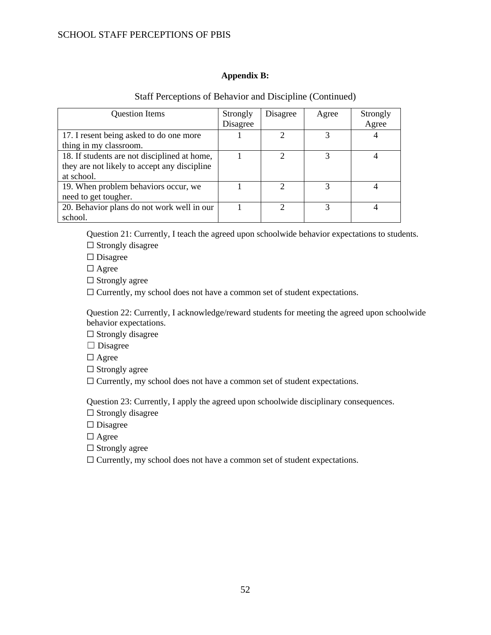## **Appendix B:**

<span id="page-52-0"></span>

| <b>Question Items</b>                        | Strongly<br>Disagree | Disagree      | Agree | Strongly<br>Agree |
|----------------------------------------------|----------------------|---------------|-------|-------------------|
|                                              |                      |               |       |                   |
| 17. I resent being asked to do one more      |                      |               | 3     |                   |
| thing in my classroom.                       |                      |               |       |                   |
| 18. If students are not disciplined at home, |                      | C             |       |                   |
| they are not likely to accept any discipline |                      |               |       |                   |
| at school.                                   |                      |               |       |                   |
| 19. When problem behaviors occur, we         |                      |               |       |                   |
| need to get tougher.                         |                      |               |       |                   |
| 20. Behavior plans do not work well in our   |                      | $\mathcal{D}$ |       |                   |
| school.                                      |                      |               |       |                   |

## Staff Perceptions of Behavior and Discipline (Continued)

Question 21: Currently, I teach the agreed upon schoolwide behavior expectations to students.

 $\Box$  Strongly disagree

□ Disagree

☐ Agree

 $\Box$  Strongly agree

□ Currently, my school does not have a common set of student expectations.

Question 22: Currently, I acknowledge/reward students for meeting the agreed upon schoolwide behavior expectations.

 $\Box$  Strongly disagree

□ Disagree

□ Agree

 $\Box$  Strongly agree

☐ Currently, my school does not have a common set of student expectations.

Question 23: Currently, I apply the agreed upon schoolwide disciplinary consequences.

 $\Box$  Strongly disagree

□ Disagree

□ Agree

 $\Box$  Strongly agree

□ Currently, my school does not have a common set of student expectations.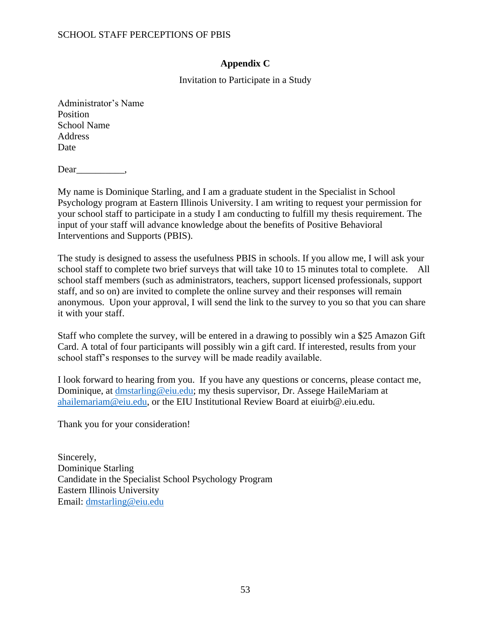# **Appendix C**

Invitation to Participate in a Study

<span id="page-53-0"></span>Administrator's Name Position School Name Address Date

Dear  $\_\_\_\_\_\_\_\_\$ 

My name is Dominique Starling, and I am a graduate student in the Specialist in School Psychology program at Eastern Illinois University. I am writing to request your permission for your school staff to participate in a study I am conducting to fulfill my thesis requirement. The input of your staff will advance knowledge about the benefits of Positive Behavioral Interventions and Supports (PBIS).

The study is designed to assess the usefulness PBIS in schools. If you allow me, I will ask your school staff to complete two brief surveys that will take 10 to 15 minutes total to complete. All school staff members (such as administrators, teachers, support licensed professionals, support staff, and so on) are invited to complete the online survey and their responses will remain anonymous. Upon your approval, I will send the link to the survey to you so that you can share it with your staff.

Staff who complete the survey, will be entered in a drawing to possibly win a \$25 Amazon Gift Card. A total of four participants will possibly win a gift card. If interested, results from your school staff's responses to the survey will be made readily available.

I look forward to hearing from you. If you have any questions or concerns, please contact me, Dominique, at [dmstarling@eiu.edu;](mailto:dmstarling@eiu.edu) my thesis supervisor, Dr. Assege HaileMariam at [ahailemariam@eiu.edu,](mailto:ahailemariam@eiu.edu) or the EIU Institutional Review Board at eiuirb@.eiu.edu.

Thank you for your consideration!

Sincerely, Dominique Starling Candidate in the Specialist School Psychology Program Eastern Illinois University Email: [dmstarling@eiu.edu](mailto:dmstarling@eiu.edu)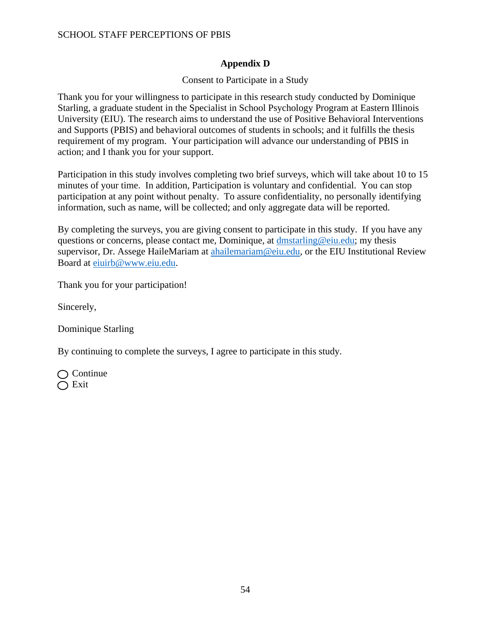# **Appendix D**

# Consent to Participate in a Study

<span id="page-54-0"></span>Thank you for your willingness to participate in this research study conducted by Dominique Starling, a graduate student in the Specialist in School Psychology Program at Eastern Illinois University (EIU). The research aims to understand the use of Positive Behavioral Interventions and Supports (PBIS) and behavioral outcomes of students in schools; and it fulfills the thesis requirement of my program. Your participation will advance our understanding of PBIS in action; and I thank you for your support.

Participation in this study involves completing two brief surveys, which will take about 10 to 15 minutes of your time. In addition, Participation is voluntary and confidential. You can stop participation at any point without penalty. To assure confidentiality, no personally identifying information, such as name, will be collected; and only aggregate data will be reported.

By completing the surveys, you are giving consent to participate in this study. If you have any questions or concerns, please contact me, Dominique, at [dmstarling@eiu.edu;](mailto:dmstarling@eiu.edu) my thesis supervisor, Dr. Assege HaileMariam at [ahailemariam@eiu.edu,](mailto:ahailemariam@eiu.edu) or the EIU Institutional Review Board at [eiuirb@www.eiu.edu.](mailto:eiuirb@www.eiu.edu)

Thank you for your participation!

Sincerely,

Dominique Starling

By continuing to complete the surveys, I agree to participate in this study.

 $\bigcap$  Continue  $\bigcirc$  Exit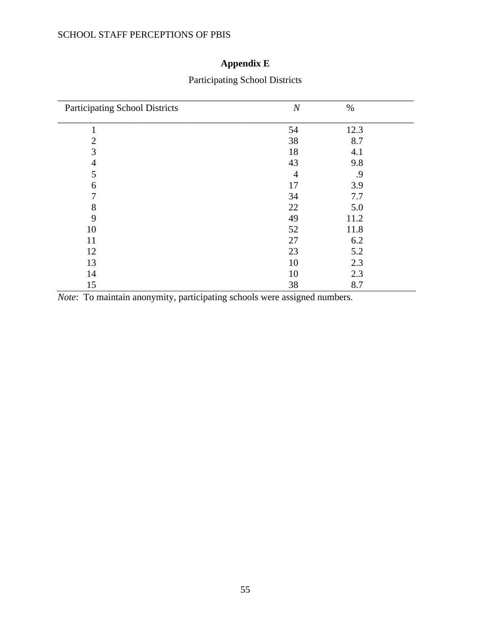# **Appendix E**

<span id="page-55-0"></span>

| <b>Participating School Districts</b> | $\boldsymbol{N}$ | $\%$ |
|---------------------------------------|------------------|------|
|                                       | 54               | 12.3 |
| $\overline{2}$                        | 38               | 8.7  |
| 3                                     | 18               | 4.1  |
| 4                                     | 43               | 9.8  |
| 5                                     | 4                | .9   |
| 6                                     | 17               | 3.9  |
| 7                                     | 34               | 7.7  |
| 8                                     | 22               | 5.0  |
| 9                                     | 49               | 11.2 |
| 10                                    | 52               | 11.8 |
| 11                                    | 27               | 6.2  |
| 12                                    | 23               | 5.2  |
| 13                                    | 10               | 2.3  |
| 14                                    | 10               | 2.3  |
| 15                                    | 38               | 8.7  |

# Participating School Districts

*Note*: To maintain anonymity, participating schools were assigned numbers.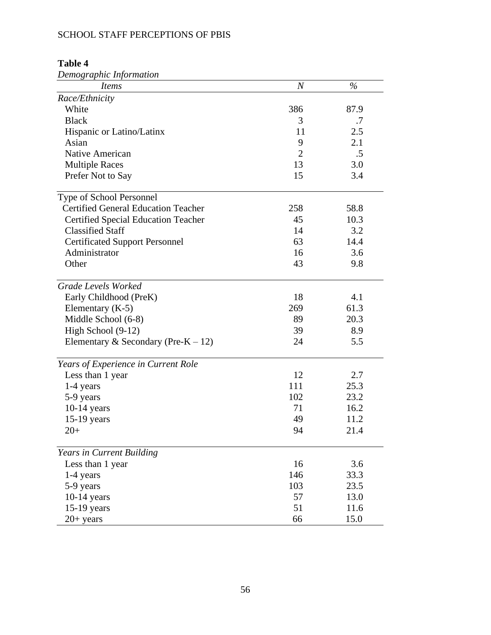| Demographic Information                    |                  |      |
|--------------------------------------------|------------------|------|
| <i>Items</i>                               | $\boldsymbol{N}$ | $\%$ |
| Race/Ethnicity                             |                  |      |
| White                                      | 386              | 87.9 |
| <b>Black</b>                               | 3                | .7   |
| Hispanic or Latino/Latinx                  | 11               | 2.5  |
| Asian                                      | 9                | 2.1  |
| Native American                            | $\overline{2}$   | .5   |
| <b>Multiple Races</b>                      | 13               | 3.0  |
| Prefer Not to Say                          | 15               | 3.4  |
| Type of School Personnel                   |                  |      |
| <b>Certified General Education Teacher</b> | 258              | 58.8 |
| <b>Certified Special Education Teacher</b> | 45               | 10.3 |
| <b>Classified Staff</b>                    | 14               | 3.2  |
| <b>Certificated Support Personnel</b>      | 63               | 14.4 |
| Administrator                              | 16               | 3.6  |
| Other                                      | 43               | 9.8  |
| Grade Levels Worked                        |                  |      |
| Early Childhood (PreK)                     | 18               | 4.1  |
| Elementary $(K-5)$                         | 269              | 61.3 |
| Middle School (6-8)                        | 89               | 20.3 |
| High School (9-12)                         | 39               | 8.9  |
| Elementary & Secondary (Pre-K – 12)        | 24               | 5.5  |
| Years of Experience in Current Role        |                  |      |
| Less than 1 year                           | 12               | 2.7  |
| 1-4 years                                  | 111              | 25.3 |
| 5-9 years                                  | 102              | 23.2 |
| $10-14$ years                              | 71               | 16.2 |
| 15-19 years                                | 49               | 11.2 |
| $20+$                                      | 94               | 21.4 |
| Years in Current Building                  |                  |      |
| Less than 1 year                           | 16               | 3.6  |
| 1-4 years                                  | 146              | 33.3 |
| 5-9 years                                  | 103              | 23.5 |
| $10-14$ years                              | 57               | 13.0 |
| $15-19$ years                              | 51               | 11.6 |
| $20+$ years                                | 66               | 15.0 |

### <span id="page-56-0"></span>**Table 4**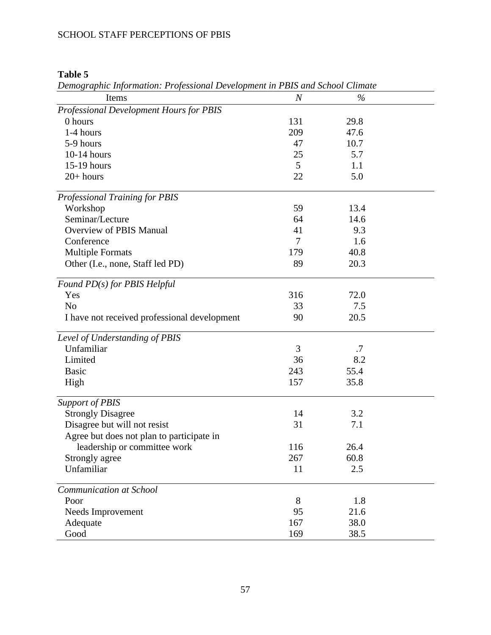# *Demographic Information: Professional Development in PBIS and School Climate* **Items** *N* % *Professional Development Hours for PBIS*  0 hours 131 29.8 1-4 hours 209 47.6 5-9 hours 47 10.7 10-14 hours 25 5.7 15-19 hours 5 1.1 20+ hours 22 5.0 *Professional Training for PBIS* Workshop 59 13.4 Seminar/Lecture 64 14.6 Overview of PBIS Manual 41 9.3 Conference 7 1.6 Multiple Formats 179 40.8 Other (I.e., none, Staff led PD) 89 20.3 *Found PD(s) for PBIS Helpful* Yes 316 72.0 No 33 7.5 I have not received professional development 90 20.5 *Level of Understanding of PBIS* Unfamiliar 3 .7 Limited 36 8.2 Basic 243 55.4 High 157 35.8 *Support of PBIS* Strongly Disagree 14 3.2 Disagree but will not resist 31 31 31 31 Agree but does not plan to participate in leadership or committee work 116 26.4 Strongly agree 267 60.8 Unfamiliar 2.5 *Communication at School* Poor 8 1.8 Needs Improvement 95 21.6

### <span id="page-57-0"></span>**Table 5**

<span id="page-57-1"></span>Adequate 167 38.0 Good 169 38.5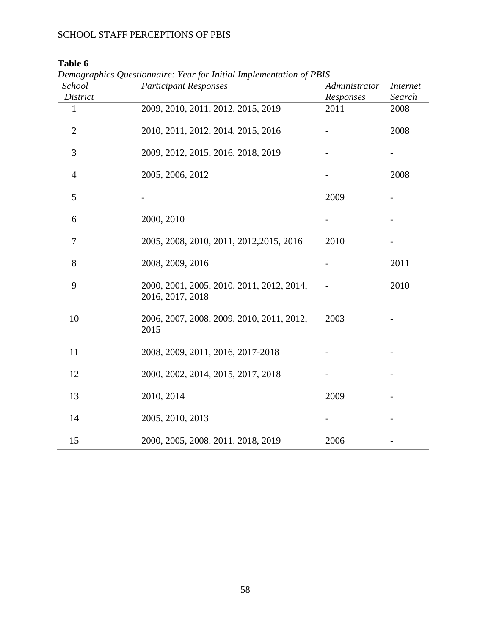**Table 6**

| School<br><b>District</b> | <b>Participant Responses</b>                                  | Administrator<br>Responses | <i>Internet</i><br>Search |
|---------------------------|---------------------------------------------------------------|----------------------------|---------------------------|
| 1                         | 2009, 2010, 2011, 2012, 2015, 2019                            | 2011                       | 2008                      |
| $\overline{2}$            | 2010, 2011, 2012, 2014, 2015, 2016                            |                            | 2008                      |
| 3                         | 2009, 2012, 2015, 2016, 2018, 2019                            |                            |                           |
| 4                         | 2005, 2006, 2012                                              |                            | 2008                      |
| 5                         |                                                               | 2009                       |                           |
| 6                         | 2000, 2010                                                    |                            |                           |
| 7                         | 2005, 2008, 2010, 2011, 2012, 2015, 2016                      | 2010                       |                           |
| 8                         | 2008, 2009, 2016                                              |                            | 2011                      |
| 9                         | 2000, 2001, 2005, 2010, 2011, 2012, 2014,<br>2016, 2017, 2018 |                            | 2010                      |
| 10                        | 2006, 2007, 2008, 2009, 2010, 2011, 2012,<br>2015             | 2003                       |                           |
| 11                        | 2008, 2009, 2011, 2016, 2017-2018                             |                            |                           |
| 12                        | 2000, 2002, 2014, 2015, 2017, 2018                            |                            |                           |
| 13                        | 2010, 2014                                                    | 2009                       |                           |
| 14                        | 2005, 2010, 2013                                              |                            |                           |
| 15                        | 2000, 2005, 2008. 2011. 2018, 2019                            | 2006                       |                           |

*Demographics Questionnaire: Year for Initial Implementation of PBIS*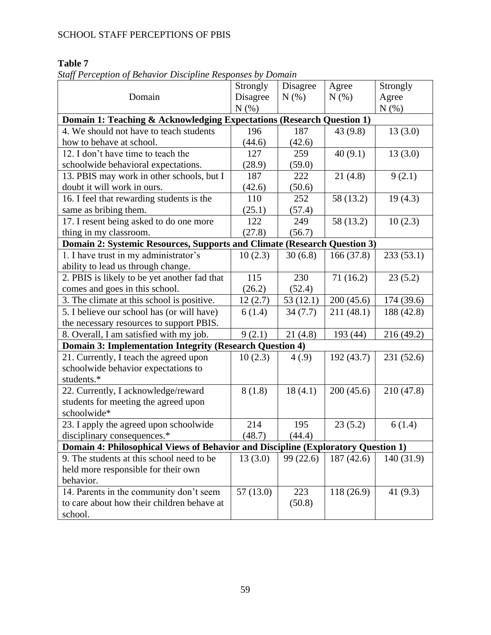# <span id="page-59-0"></span>**Table 7**

| Staff Perception of Behavior Discipline Responses by Domain |  |  |
|-------------------------------------------------------------|--|--|
|                                                             |  |  |

|                                                                                   | Strongly | Disagree | Agree      | Strongly   |  |  |
|-----------------------------------------------------------------------------------|----------|----------|------------|------------|--|--|
| Domain                                                                            | Disagree | N(% )    | N(% )      | Agree      |  |  |
|                                                                                   | N(% )    |          |            | $N(\%)$    |  |  |
| Domain 1: Teaching & Acknowledging Expectations (Research Question 1)             |          |          |            |            |  |  |
| 4. We should not have to teach students                                           | 196      | 187      | 43(9.8)    | 13(3.0)    |  |  |
| how to behave at school.                                                          | (44.6)   | (42.6)   |            |            |  |  |
| 12. I don't have time to teach the                                                | 127      | 259      | 40(9.1)    | 13(3.0)    |  |  |
| schoolwide behavioral expectations.                                               | (28.9)   | (59.0)   |            |            |  |  |
| 13. PBIS may work in other schools, but I                                         | 187      | 222      | 21(4.8)    | 9(2.1)     |  |  |
| doubt it will work in ours.                                                       | (42.6)   | (50.6)   |            |            |  |  |
| 16. I feel that rewarding students is the                                         | 110      | 252      | 58 (13.2)  | 19(4.3)    |  |  |
| same as bribing them.                                                             | (25.1)   | (57.4)   |            |            |  |  |
| 17. I resent being asked to do one more                                           | 122      | 249      | 58 (13.2)  | 10(2.3)    |  |  |
| thing in my classroom.                                                            | (27.8)   | (56.7)   |            |            |  |  |
| Domain 2: Systemic Resources, Supports and Climate (Research Question 3)          |          |          |            |            |  |  |
| 1. I have trust in my administrator's                                             | 10(2.3)  | 30(6.8)  | 166(37.8)  | 233(53.1)  |  |  |
| ability to lead us through change.                                                |          |          |            |            |  |  |
| 2. PBIS is likely to be yet another fad that                                      | 115      | 230      | 71(16.2)   | 23(5.2)    |  |  |
| comes and goes in this school.                                                    | (26.2)   | (52.4)   |            |            |  |  |
| 3. The climate at this school is positive.                                        | 12(2.7)  | 53(12.1) | 200(45.6)  | 174 (39.6) |  |  |
| 5. I believe our school has (or will have)                                        | 6(1.4)   | 34(7.7)  | 211 (48.1) | 188 (42.8) |  |  |
| the necessary resources to support PBIS.                                          |          |          |            |            |  |  |
| 8. Overall, I am satisfied with my job.                                           | 9(2.1)   | 21(4.8)  | 193 (44)   | 216 (49.2) |  |  |
| <b>Domain 3: Implementation Integrity (Research Question 4)</b>                   |          |          |            |            |  |  |
| 21. Currently, I teach the agreed upon                                            | 10(2.3)  | 4(.9)    | 192 (43.7) | 231 (52.6) |  |  |
| schoolwide behavior expectations to                                               |          |          |            |            |  |  |
| students.*                                                                        |          |          |            |            |  |  |
| 22. Currently, I acknowledge/reward                                               | 8(1.8)   | 18(4.1)  | 200(45.6)  | 210 (47.8) |  |  |
| students for meeting the agreed upon                                              |          |          |            |            |  |  |
| schoolwide*                                                                       |          |          |            |            |  |  |
| 23. I apply the agreed upon schoolwide                                            | 214      | 195      | 23(5.2)    | 6(1.4)     |  |  |
| disciplinary consequences.*                                                       | (48.7)   | (44.4)   |            |            |  |  |
| Domain 4: Philosophical Views of Behavior and Discipline (Exploratory Question 1) |          |          |            |            |  |  |
| 9. The students at this school need to be                                         | 13(3.0)  | 99(22.6) | 187(42.6)  | 140 (31.9) |  |  |
| held more responsible for their own                                               |          |          |            |            |  |  |
| behavior.                                                                         |          |          |            |            |  |  |
| 14. Parents in the community don't seem                                           | 57(13.0) | 223      | 118(26.9)  | 41 $(9.3)$ |  |  |
| to care about how their children behave at                                        |          | (50.8)   |            |            |  |  |
| school.                                                                           |          |          |            |            |  |  |